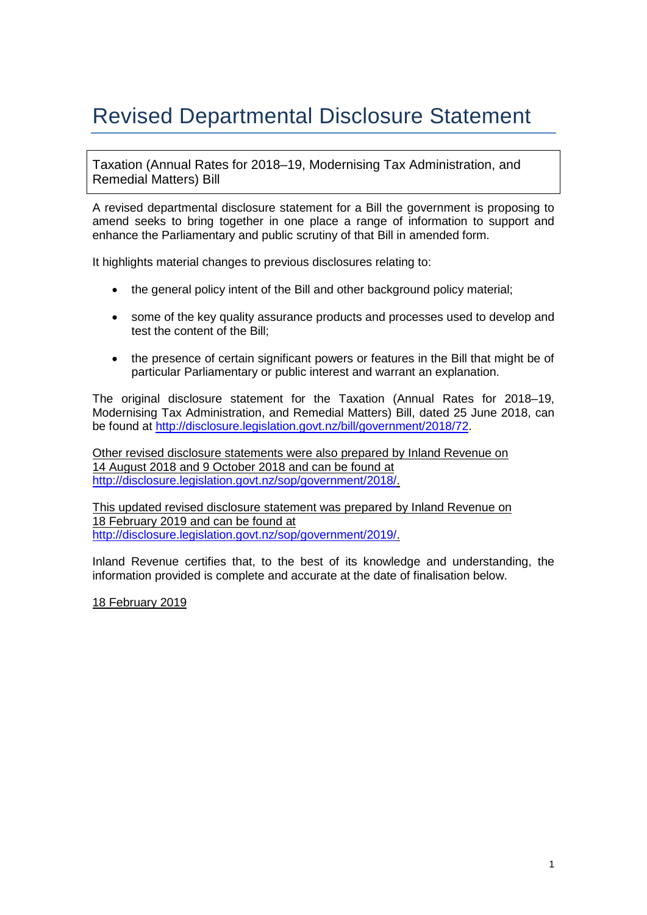# Revised Departmental Disclosure Statement

Taxation (Annual Rates for 2018–19, Modernising Tax Administration, and Remedial Matters) Bill

A revised departmental disclosure statement for a Bill the government is proposing to amend seeks to bring together in one place a range of information to support and enhance the Parliamentary and public scrutiny of that Bill in amended form.

It highlights material changes to previous disclosures relating to:

- the general policy intent of the Bill and other background policy material;
- some of the key quality assurance products and processes used to develop and test the content of the Bill;
- the presence of certain significant powers or features in the Bill that might be of particular Parliamentary or public interest and warrant an explanation.

The original disclosure statement for the Taxation (Annual Rates for 2018–19, Modernising Tax Administration, and Remedial Matters) Bill, dated 25 June 2018, can be found at [http://disclosure.legislation.govt.nz/bill/government/2018/72.](http://disclosure.legislation.govt.nz/bill/government/2018/72)

Other revised disclosure statements were also prepared by Inland Revenue on 14 August 2018 and 9 October 2018 and can be found at [http://disclosure.legislation.govt.nz/sop/government/2018/.](http://disclosure.legislation.govt.nz/sop/government/2018/)

This updated revised disclosure statement was prepared by Inland Revenue on 18 February 2019 and can be found at [http://disclosure.legislation.govt.nz/sop/government/2019/.](http://disclosure.legislation.govt.nz/sop/government/2019/)

Inland Revenue certifies that, to the best of its knowledge and understanding, the information provided is complete and accurate at the date of finalisation below.

18 February 2019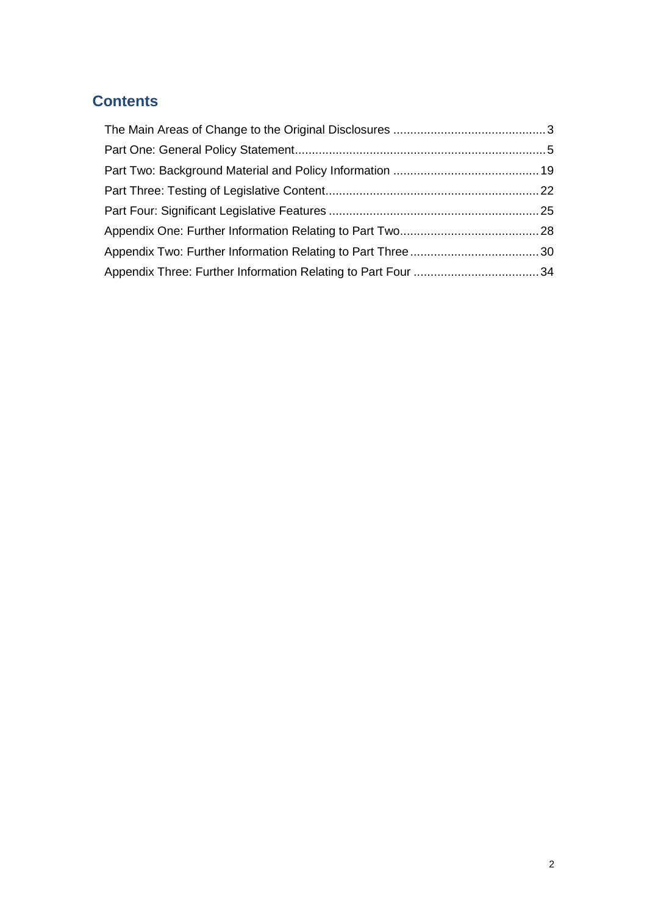## **Contents**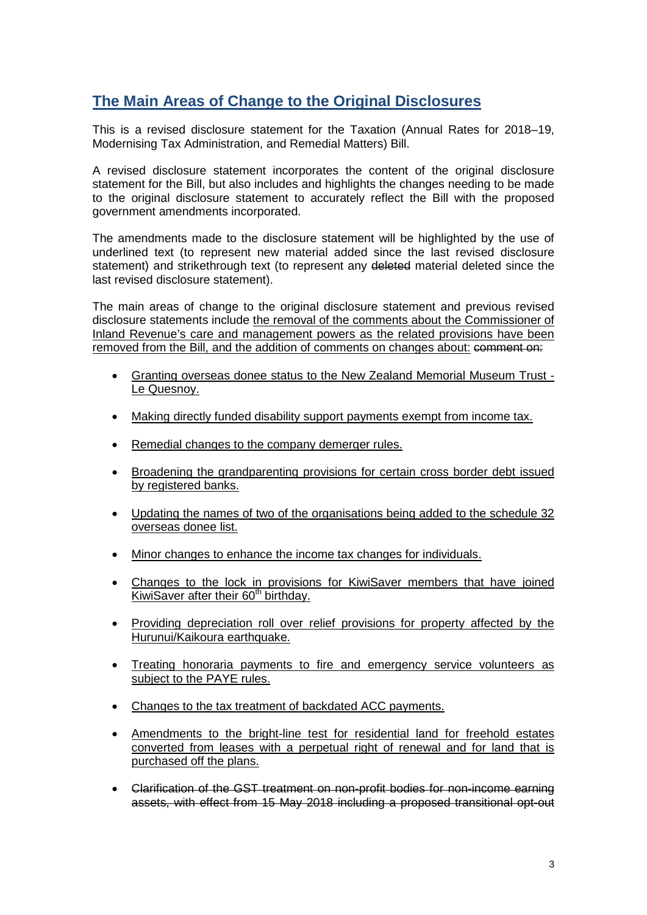## <span id="page-2-0"></span>**The Main Areas of Change to the Original Disclosures**

This is a revised disclosure statement for the Taxation (Annual Rates for 2018–19, Modernising Tax Administration, and Remedial Matters) Bill.

A revised disclosure statement incorporates the content of the original disclosure statement for the Bill, but also includes and highlights the changes needing to be made to the original disclosure statement to accurately reflect the Bill with the proposed government amendments incorporated.

The amendments made to the disclosure statement will be highlighted by the use of underlined text (to represent new material added since the last revised disclosure statement) and strikethrough text (to represent any deleted material deleted since the last revised disclosure statement).

The main areas of change to the original disclosure statement and previous revised disclosure statements include the removal of the comments about the Commissioner of Inland Revenue's care and management powers as the related provisions have been removed from the Bill, and the addition of comments on changes about: comment on:

- Granting overseas donee status to the New Zealand Memorial Museum Trust Le Quesnoy.
- Making directly funded disability support payments exempt from income tax.
- Remedial changes to the company demerger rules.
- Broadening the grandparenting provisions for certain cross border debt issued by registered banks.
- Updating the names of two of the organisations being added to the schedule 32 overseas donee list.
- Minor changes to enhance the income tax changes for individuals.
- Changes to the lock in provisions for KiwiSaver members that have joined KiwiSaver after their 60<sup>th</sup> birthday.
- Providing depreciation roll over relief provisions for property affected by the Hurunui/Kaikoura earthquake.
- Treating honoraria payments to fire and emergency service volunteers as subject to the PAYE rules.
- Changes to the tax treatment of backdated ACC payments.
- Amendments to the bright-line test for residential land for freehold estates converted from leases with a perpetual right of renewal and for land that is purchased off the plans.
- Clarification of the GST treatment on non-profit bodies for non-income earning assets, with effect from 15 May 2018 including a proposed transitional opt-out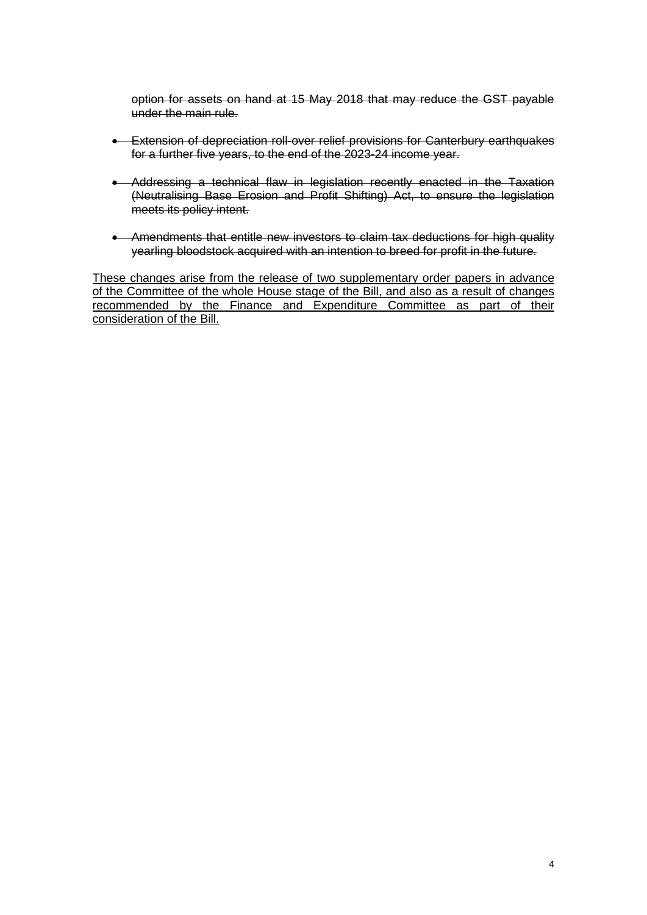option for assets on hand at 15 May 2018 that may reduce the GST payable under the main rule.

- Extension of depreciation roll-over relief provisions for Canterbury earthquakes for a further five years, to the end of the 2023-24 income year.
- Addressing a technical flaw in legislation recently enacted in the Taxation (Neutralising Base Erosion and Profit Shifting) Act, to ensure the legislation meets its policy intent.
- Amendments that entitle new investors to claim tax deductions for high quality yearling bloodstock acquired with an intention to breed for profit in the future.

These changes arise from the release of two supplementary order papers in advance of the Committee of the whole House stage of the Bill, and also as a result of changes recommended by the Finance and Expenditure Committee as part of their consideration of the Bill.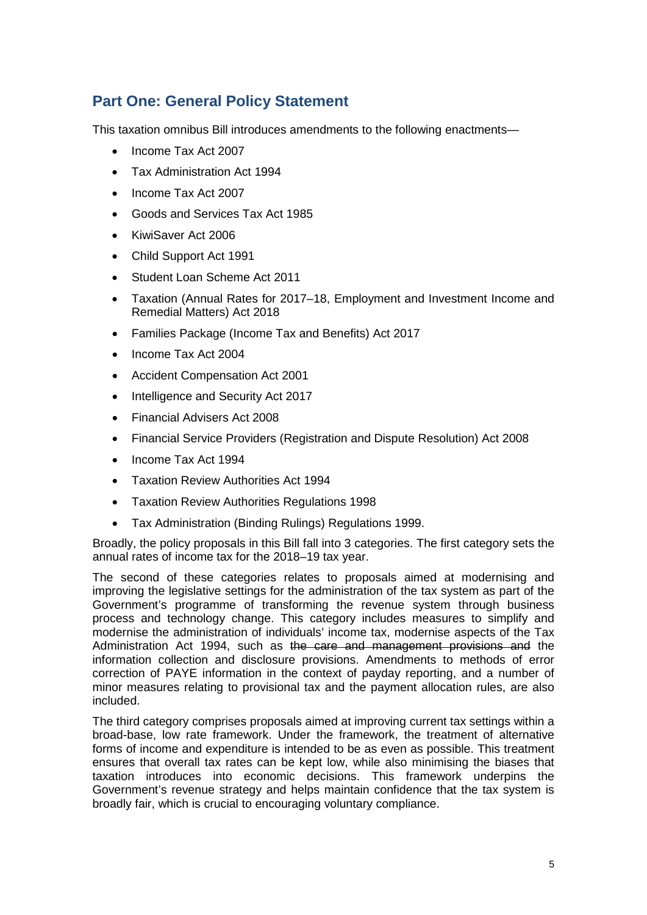## <span id="page-4-0"></span>**Part One: General Policy Statement**

This taxation omnibus Bill introduces amendments to the following enactments—

- Income Tax Act 2007
- Tax Administration Act 1994
- Income Tax Act 2007
- Goods and Services Tax Act 1985
- KiwiSaver Act 2006
- Child Support Act 1991
- Student Loan Scheme Act 2011
- Taxation (Annual Rates for 2017–18, Employment and Investment Income and Remedial Matters) Act 2018
- Families Package (Income Tax and Benefits) Act 2017
- Income Tax Act 2004
- Accident Compensation Act 2001
- Intelligence and Security Act 2017
- Financial Advisers Act 2008
- Financial Service Providers (Registration and Dispute Resolution) Act 2008
- Income Tax Act 1994
- Taxation Review Authorities Act 1994
- Taxation Review Authorities Regulations 1998
- Tax Administration (Binding Rulings) Regulations 1999.

Broadly, the policy proposals in this Bill fall into 3 categories. The first category sets the annual rates of income tax for the 2018–19 tax year.

The second of these categories relates to proposals aimed at modernising and improving the legislative settings for the administration of the tax system as part of the Government's programme of transforming the revenue system through business process and technology change. This category includes measures to simplify and modernise the administration of individuals' income tax, modernise aspects of the Tax Administration Act 1994, such as the care and management provisions and the information collection and disclosure provisions. Amendments to methods of error correction of PAYE information in the context of payday reporting, and a number of minor measures relating to provisional tax and the payment allocation rules, are also included.

The third category comprises proposals aimed at improving current tax settings within a broad-base, low rate framework. Under the framework, the treatment of alternative forms of income and expenditure is intended to be as even as possible. This treatment ensures that overall tax rates can be kept low, while also minimising the biases that taxation introduces into economic decisions. This framework underpins the Government's revenue strategy and helps maintain confidence that the tax system is broadly fair, which is crucial to encouraging voluntary compliance.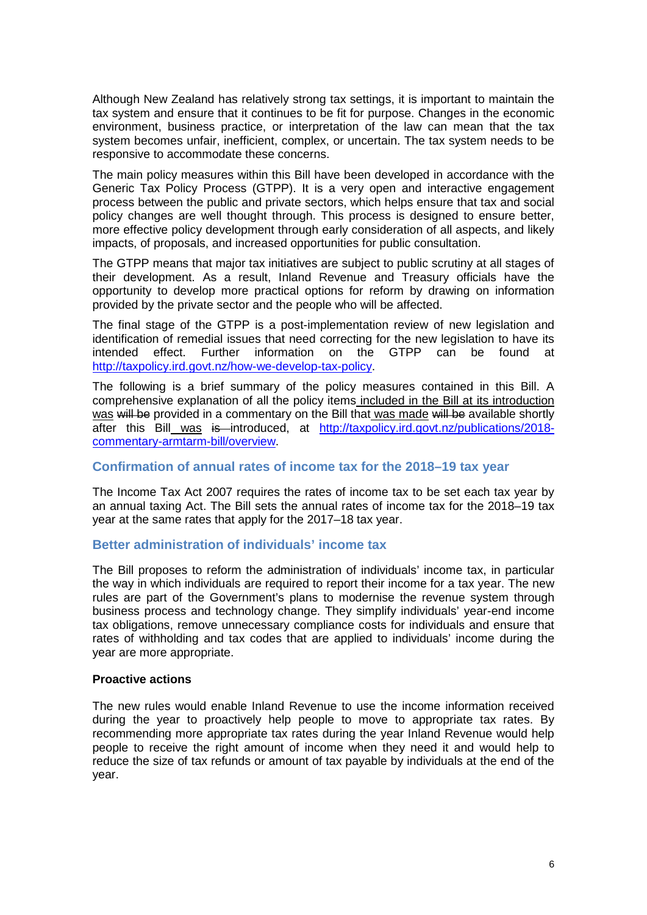Although New Zealand has relatively strong tax settings, it is important to maintain the tax system and ensure that it continues to be fit for purpose. Changes in the economic environment, business practice, or interpretation of the law can mean that the tax system becomes unfair, inefficient, complex, or uncertain. The tax system needs to be responsive to accommodate these concerns.

The main policy measures within this Bill have been developed in accordance with the Generic Tax Policy Process (GTPP). It is a very open and interactive engagement process between the public and private sectors, which helps ensure that tax and social policy changes are well thought through. This process is designed to ensure better, more effective policy development through early consideration of all aspects, and likely impacts, of proposals, and increased opportunities for public consultation.

The GTPP means that major tax initiatives are subject to public scrutiny at all stages of their development. As a result, Inland Revenue and Treasury officials have the opportunity to develop more practical options for reform by drawing on information provided by the private sector and the people who will be affected.

The final stage of the GTPP is a post-implementation review of new legislation and identification of remedial issues that need correcting for the new legislation to have its intended effect. Further information on the GTPP can be found at [http://taxpolicy.ird.govt.nz/how-we-develop-tax-policy.](http://taxpolicy.ird.govt.nz/how-we-develop-tax-policy)

The following is a brief summary of the policy measures contained in this Bill. A comprehensive explanation of all the policy items included in the Bill at its introduction was will be provided in a commentary on the Bill that was made will be available shortly after this Bill was is introduced, at [http://taxpolicy.ird.govt.nz/publications/2018](http://taxpolicy.ird.govt.nz/publications/2018-commentary-armtarm-bill/overview) [commentary-armtarm-bill/overview.](http://taxpolicy.ird.govt.nz/publications/2018-commentary-armtarm-bill/overview)

## **Confirmation of annual rates of income tax for the 2018–19 tax year**

The Income Tax Act 2007 requires the rates of income tax to be set each tax year by an annual taxing Act. The Bill sets the annual rates of income tax for the 2018–19 tax year at the same rates that apply for the 2017–18 tax year.

## **Better administration of individuals' income tax**

The Bill proposes to reform the administration of individuals' income tax, in particular the way in which individuals are required to report their income for a tax year. The new rules are part of the Government's plans to modernise the revenue system through business process and technology change. They simplify individuals' year-end income tax obligations, remove unnecessary compliance costs for individuals and ensure that rates of withholding and tax codes that are applied to individuals' income during the year are more appropriate.

### **Proactive actions**

The new rules would enable Inland Revenue to use the income information received during the year to proactively help people to move to appropriate tax rates. By recommending more appropriate tax rates during the year Inland Revenue would help people to receive the right amount of income when they need it and would help to reduce the size of tax refunds or amount of tax payable by individuals at the end of the year.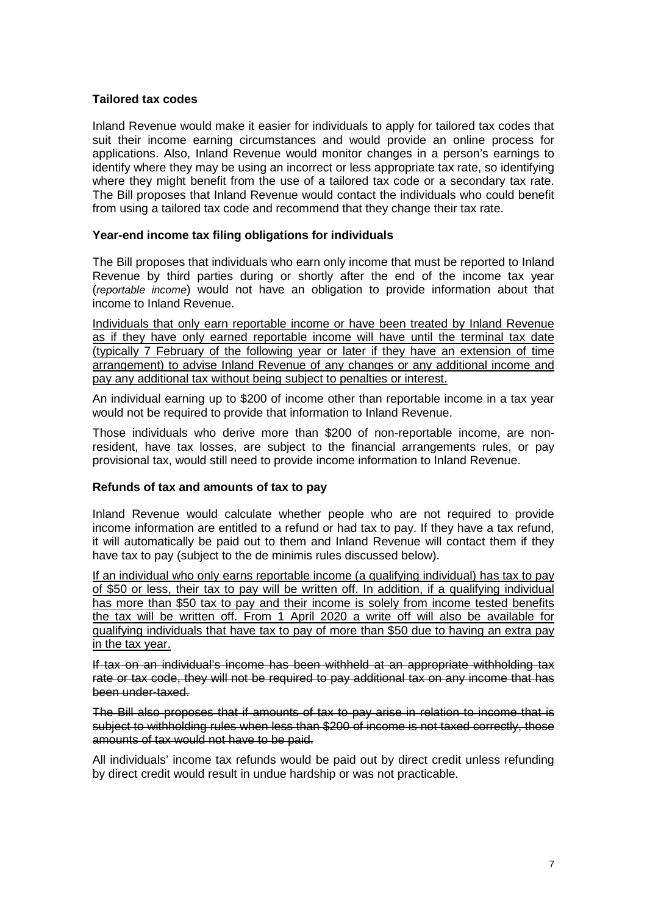### **Tailored tax codes**

Inland Revenue would make it easier for individuals to apply for tailored tax codes that suit their income earning circumstances and would provide an online process for applications. Also, Inland Revenue would monitor changes in a person's earnings to identify where they may be using an incorrect or less appropriate tax rate, so identifying where they might benefit from the use of a tailored tax code or a secondary tax rate. The Bill proposes that Inland Revenue would contact the individuals who could benefit from using a tailored tax code and recommend that they change their tax rate.

### **Year-end income tax filing obligations for individuals**

The Bill proposes that individuals who earn only income that must be reported to Inland Revenue by third parties during or shortly after the end of the income tax year (*reportable income*) would not have an obligation to provide information about that income to Inland Revenue.

Individuals that only earn reportable income or have been treated by Inland Revenue as if they have only earned reportable income will have until the terminal tax date (typically 7 February of the following year or later if they have an extension of time arrangement) to advise Inland Revenue of any changes or any additional income and pay any additional tax without being subject to penalties or interest.

An individual earning up to \$200 of income other than reportable income in a tax year would not be required to provide that information to Inland Revenue.

Those individuals who derive more than \$200 of non-reportable income, are nonresident, have tax losses, are subject to the financial arrangements rules, or pay provisional tax, would still need to provide income information to Inland Revenue.

### **Refunds of tax and amounts of tax to pay**

Inland Revenue would calculate whether people who are not required to provide income information are entitled to a refund or had tax to pay. If they have a tax refund, it will automatically be paid out to them and Inland Revenue will contact them if they have tax to pay (subject to the de minimis rules discussed below).

If an individual who only earns reportable income (a qualifying individual) has tax to pay of \$50 or less, their tax to pay will be written off. In addition, if a qualifying individual has more than \$50 tax to pay and their income is solely from income tested benefits the tax will be written off. From 1 April 2020 a write off will also be available for qualifying individuals that have tax to pay of more than \$50 due to having an extra pay in the tax year.

If tax on an individual's income has been withheld at an appropriate withholding tax rate or tax code, they will not be required to pay additional tax on any income that has been under-taxed.

The Bill also proposes that if amounts of tax to pay arise in relation to income that is subject to withholding rules when less than \$200 of income is not taxed correctly, those amounts of tax would not have to be paid.

All individuals' income tax refunds would be paid out by direct credit unless refunding by direct credit would result in undue hardship or was not practicable.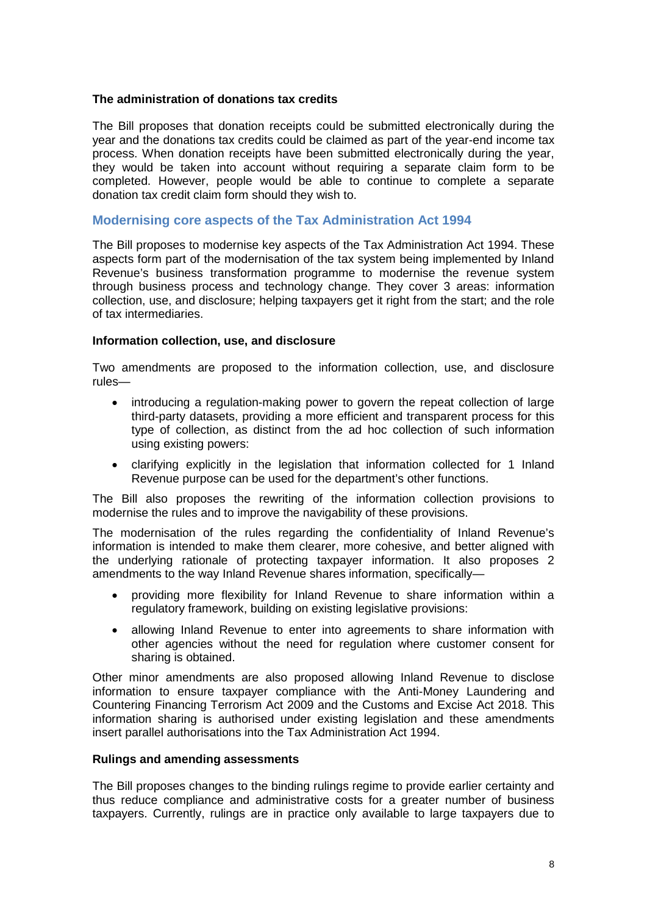### **The administration of donations tax credits**

The Bill proposes that donation receipts could be submitted electronically during the year and the donations tax credits could be claimed as part of the year-end income tax process. When donation receipts have been submitted electronically during the year, they would be taken into account without requiring a separate claim form to be completed. However, people would be able to continue to complete a separate donation tax credit claim form should they wish to.

## **Modernising core aspects of the Tax Administration Act 1994**

The Bill proposes to modernise key aspects of the Tax Administration Act 1994. These aspects form part of the modernisation of the tax system being implemented by Inland Revenue's business transformation programme to modernise the revenue system through business process and technology change. They cover 3 areas: information collection, use, and disclosure; helping taxpayers get it right from the start; and the role of tax intermediaries.

#### **Information collection, use, and disclosure**

Two amendments are proposed to the information collection, use, and disclosure rules—

- introducing a regulation-making power to govern the repeat collection of large third-party datasets, providing a more efficient and transparent process for this type of collection, as distinct from the ad hoc collection of such information using existing powers:
- clarifying explicitly in the legislation that information collected for 1 Inland Revenue purpose can be used for the department's other functions.

The Bill also proposes the rewriting of the information collection provisions to modernise the rules and to improve the navigability of these provisions.

The modernisation of the rules regarding the confidentiality of Inland Revenue's information is intended to make them clearer, more cohesive, and better aligned with the underlying rationale of protecting taxpayer information. It also proposes 2 amendments to the way Inland Revenue shares information, specifically—

- providing more flexibility for Inland Revenue to share information within a regulatory framework, building on existing legislative provisions:
- allowing Inland Revenue to enter into agreements to share information with other agencies without the need for regulation where customer consent for sharing is obtained.

Other minor amendments are also proposed allowing Inland Revenue to disclose information to ensure taxpayer compliance with the Anti-Money Laundering and Countering Financing Terrorism Act 2009 and the Customs and Excise Act 2018. This information sharing is authorised under existing legislation and these amendments insert parallel authorisations into the Tax Administration Act 1994.

#### **Rulings and amending assessments**

The Bill proposes changes to the binding rulings regime to provide earlier certainty and thus reduce compliance and administrative costs for a greater number of business taxpayers. Currently, rulings are in practice only available to large taxpayers due to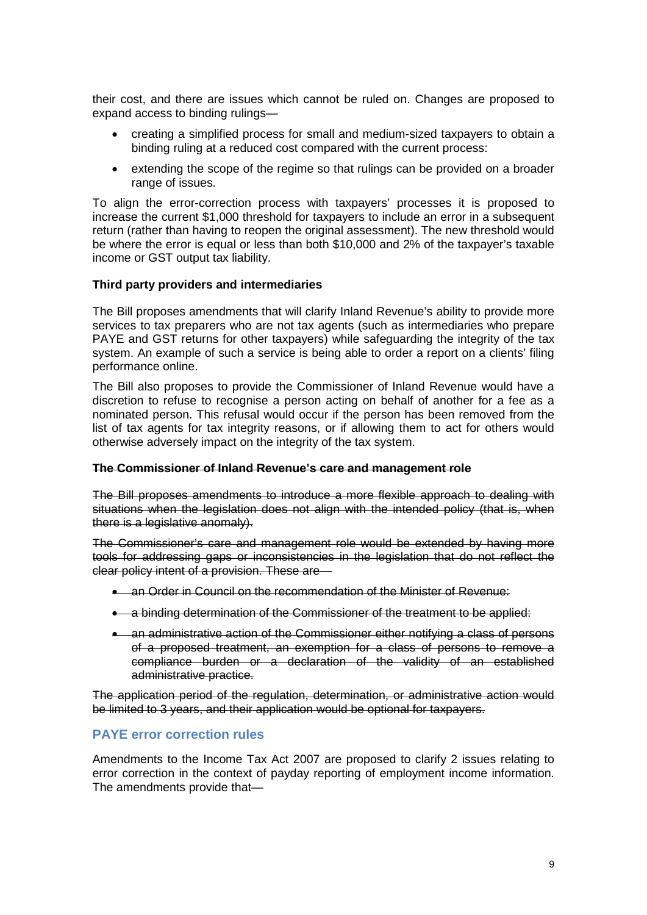their cost, and there are issues which cannot be ruled on. Changes are proposed to expand access to binding rulings—

- creating a simplified process for small and medium-sized taxpayers to obtain a binding ruling at a reduced cost compared with the current process:
- extending the scope of the regime so that rulings can be provided on a broader range of issues.

To align the error-correction process with taxpayers' processes it is proposed to increase the current \$1,000 threshold for taxpayers to include an error in a subsequent return (rather than having to reopen the original assessment). The new threshold would be where the error is equal or less than both \$10,000 and 2% of the taxpayer's taxable income or GST output tax liability.

### **Third party providers and intermediaries**

The Bill proposes amendments that will clarify Inland Revenue's ability to provide more services to tax preparers who are not tax agents (such as intermediaries who prepare PAYE and GST returns for other taxpayers) while safeguarding the integrity of the tax system. An example of such a service is being able to order a report on a clients' filing performance online.

The Bill also proposes to provide the Commissioner of Inland Revenue would have a discretion to refuse to recognise a person acting on behalf of another for a fee as a nominated person. This refusal would occur if the person has been removed from the list of tax agents for tax integrity reasons, or if allowing them to act for others would otherwise adversely impact on the integrity of the tax system.

#### **The Commissioner of Inland Revenue's care and management role**

The Bill proposes amendments to introduce a more flexible approach to dealing with situations when the legislation does not align with the intended policy (that is, when there is a legislative anomaly).

The Commissioner's care and management role would be extended by having more tools for addressing gaps or inconsistencies in the legislation that do not reflect the clear policy intent of a provision. These are-

- an Order in Council on the recommendation of the Minister of Revenue:
- a binding determination of the Commissioner of the treatment to be applied:
- an administrative action of the Commissioner either notifying a class of persons of a proposed treatment, an exemption for a class of persons to remove a compliance burden or a declaration of the validity of an established administrative practice.

The application period of the regulation, determination, or administrative action would be limited to 3 years, and their application would be optional for taxpayers.

## **PAYE error correction rules**

Amendments to the Income Tax Act 2007 are proposed to clarify 2 issues relating to error correction in the context of payday reporting of employment income information. The amendments provide that—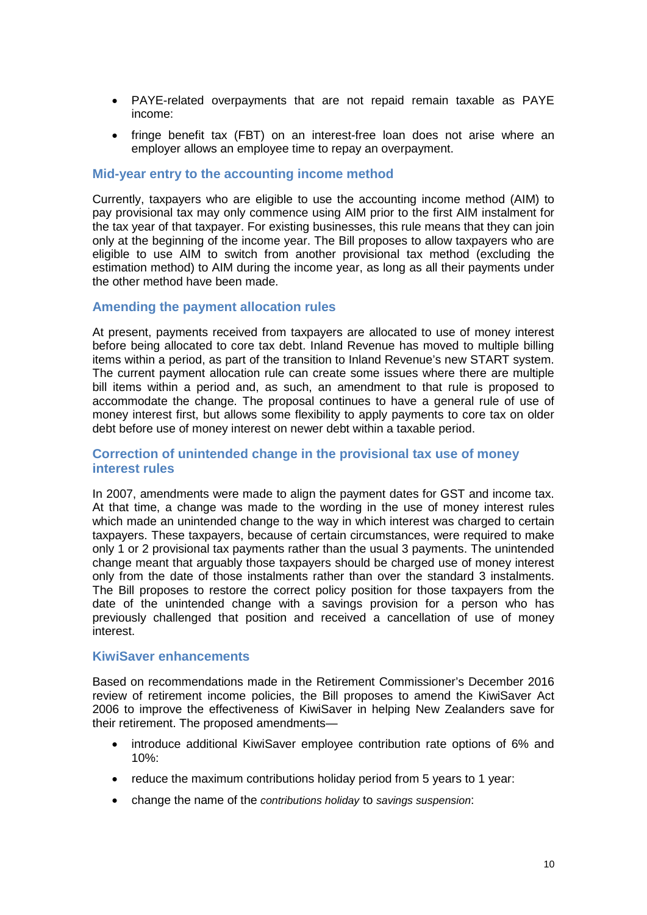- PAYE-related overpayments that are not repaid remain taxable as PAYE income:
- fringe benefit tax (FBT) on an interest-free loan does not arise where an employer allows an employee time to repay an overpayment.

#### **Mid-year entry to the accounting income method**

Currently, taxpayers who are eligible to use the accounting income method (AIM) to pay provisional tax may only commence using AIM prior to the first AIM instalment for the tax year of that taxpayer. For existing businesses, this rule means that they can join only at the beginning of the income year. The Bill proposes to allow taxpayers who are eligible to use AIM to switch from another provisional tax method (excluding the estimation method) to AIM during the income year, as long as all their payments under the other method have been made.

#### **Amending the payment allocation rules**

At present, payments received from taxpayers are allocated to use of money interest before being allocated to core tax debt. Inland Revenue has moved to multiple billing items within a period, as part of the transition to Inland Revenue's new START system. The current payment allocation rule can create some issues where there are multiple bill items within a period and, as such, an amendment to that rule is proposed to accommodate the change. The proposal continues to have a general rule of use of money interest first, but allows some flexibility to apply payments to core tax on older debt before use of money interest on newer debt within a taxable period.

### **Correction of unintended change in the provisional tax use of money interest rules**

In 2007, amendments were made to align the payment dates for GST and income tax. At that time, a change was made to the wording in the use of money interest rules which made an unintended change to the way in which interest was charged to certain taxpayers. These taxpayers, because of certain circumstances, were required to make only 1 or 2 provisional tax payments rather than the usual 3 payments. The unintended change meant that arguably those taxpayers should be charged use of money interest only from the date of those instalments rather than over the standard 3 instalments. The Bill proposes to restore the correct policy position for those taxpayers from the date of the unintended change with a savings provision for a person who has previously challenged that position and received a cancellation of use of money interest.

#### **KiwiSaver enhancements**

Based on recommendations made in the Retirement Commissioner's December 2016 review of retirement income policies, the Bill proposes to amend the KiwiSaver Act 2006 to improve the effectiveness of KiwiSaver in helping New Zealanders save for their retirement. The proposed amendments—

- introduce additional KiwiSaver employee contribution rate options of 6% and  $10\%$
- reduce the maximum contributions holiday period from 5 years to 1 year:
- change the name of the *contributions holiday* to *savings suspension*: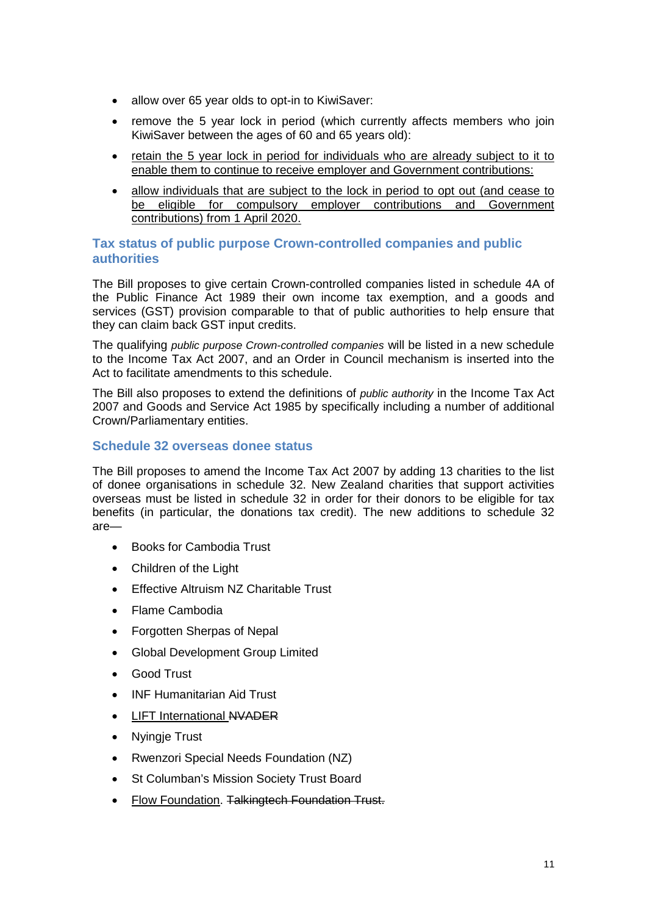- allow over 65 year olds to opt-in to KiwiSaver:
- remove the 5 year lock in period (which currently affects members who join KiwiSaver between the ages of 60 and 65 years old):
- retain the 5 year lock in period for individuals who are already subject to it to enable them to continue to receive employer and Government contributions:
- allow individuals that are subject to the lock in period to opt out (and cease to be eligible for compulsory employer contributions and Government contributions) from 1 April 2020.

## **Tax status of public purpose Crown-controlled companies and public authorities**

The Bill proposes to give certain Crown-controlled companies listed in schedule 4A of the Public Finance Act 1989 their own income tax exemption, and a goods and services (GST) provision comparable to that of public authorities to help ensure that they can claim back GST input credits.

The qualifying *public purpose Crown-controlled companies* will be listed in a new schedule to the Income Tax Act 2007, and an Order in Council mechanism is inserted into the Act to facilitate amendments to this schedule.

The Bill also proposes to extend the definitions of *public authority* in the Income Tax Act 2007 and Goods and Service Act 1985 by specifically including a number of additional Crown/Parliamentary entities.

## **Schedule 32 overseas donee status**

The Bill proposes to amend the Income Tax Act 2007 by adding 13 charities to the list of donee organisations in schedule 32. New Zealand charities that support activities overseas must be listed in schedule 32 in order for their donors to be eligible for tax benefits (in particular, the donations tax credit). The new additions to schedule 32 are—

- Books for Cambodia Trust
- Children of the Light
- Effective Altruism NZ Charitable Trust
- Flame Cambodia
- Forgotten Sherpas of Nepal
- Global Development Group Limited
- Good Trust
- INF Humanitarian Aid Trust
- LIFT International NVADER
- Nvingie Trust
- Rwenzori Special Needs Foundation (NZ)
- St Columban's Mission Society Trust Board
- Flow Foundation. Talkingtech Foundation Trust.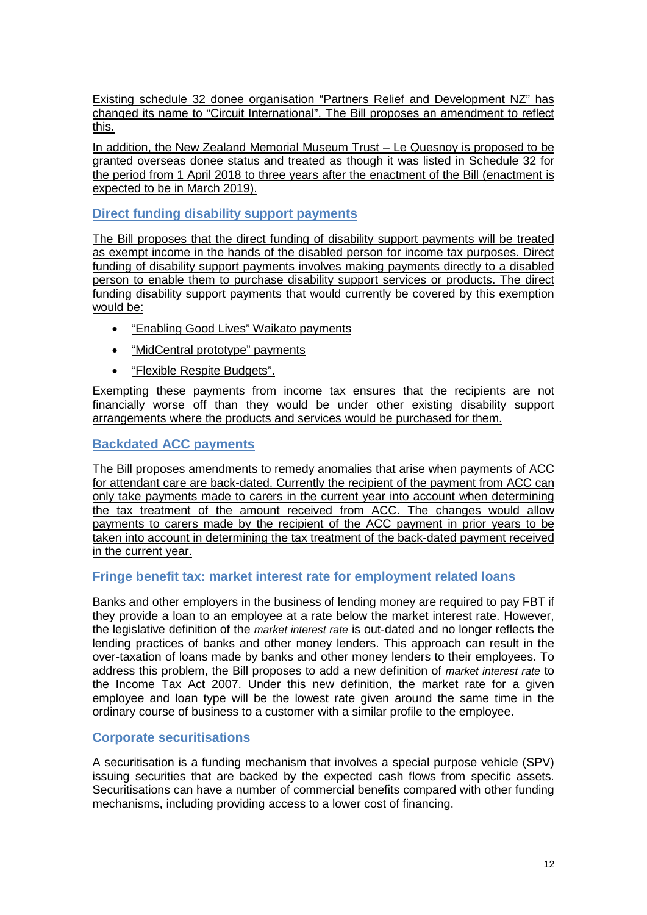Existing schedule 32 donee organisation "Partners Relief and Development NZ" has changed its name to "Circuit International". The Bill proposes an amendment to reflect this.

In addition, the New Zealand Memorial Museum Trust – Le Quesnoy is proposed to be granted overseas donee status and treated as though it was listed in Schedule 32 for the period from 1 April 2018 to three years after the enactment of the Bill (enactment is expected to be in March 2019).

## **Direct funding disability support payments**

The Bill proposes that the direct funding of disability support payments will be treated as exempt income in the hands of the disabled person for income tax purposes. Direct funding of disability support payments involves making payments directly to a disabled person to enable them to purchase disability support services or products. The direct funding disability support payments that would currently be covered by this exemption would be:

- "Enabling Good Lives" Waikato payments
- "MidCentral prototype" payments
- "Flexible Respite Budgets".

Exempting these payments from income tax ensures that the recipients are not financially worse off than they would be under other existing disability support arrangements where the products and services would be purchased for them.

## **Backdated ACC payments**

The Bill proposes amendments to remedy anomalies that arise when payments of ACC for attendant care are back-dated. Currently the recipient of the payment from ACC can only take payments made to carers in the current year into account when determining the tax treatment of the amount received from ACC. The changes would allow payments to carers made by the recipient of the ACC payment in prior years to be taken into account in determining the tax treatment of the back-dated payment received in the current year.

## **Fringe benefit tax: market interest rate for employment related loans**

Banks and other employers in the business of lending money are required to pay FBT if they provide a loan to an employee at a rate below the market interest rate. However, the legislative definition of the *market interest rate* is out-dated and no longer reflects the lending practices of banks and other money lenders. This approach can result in the over-taxation of loans made by banks and other money lenders to their employees. To address this problem, the Bill proposes to add a new definition of *market interest rate* to the Income Tax Act 2007. Under this new definition, the market rate for a given employee and loan type will be the lowest rate given around the same time in the ordinary course of business to a customer with a similar profile to the employee.

## **Corporate securitisations**

A securitisation is a funding mechanism that involves a special purpose vehicle (SPV) issuing securities that are backed by the expected cash flows from specific assets. Securitisations can have a number of commercial benefits compared with other funding mechanisms, including providing access to a lower cost of financing.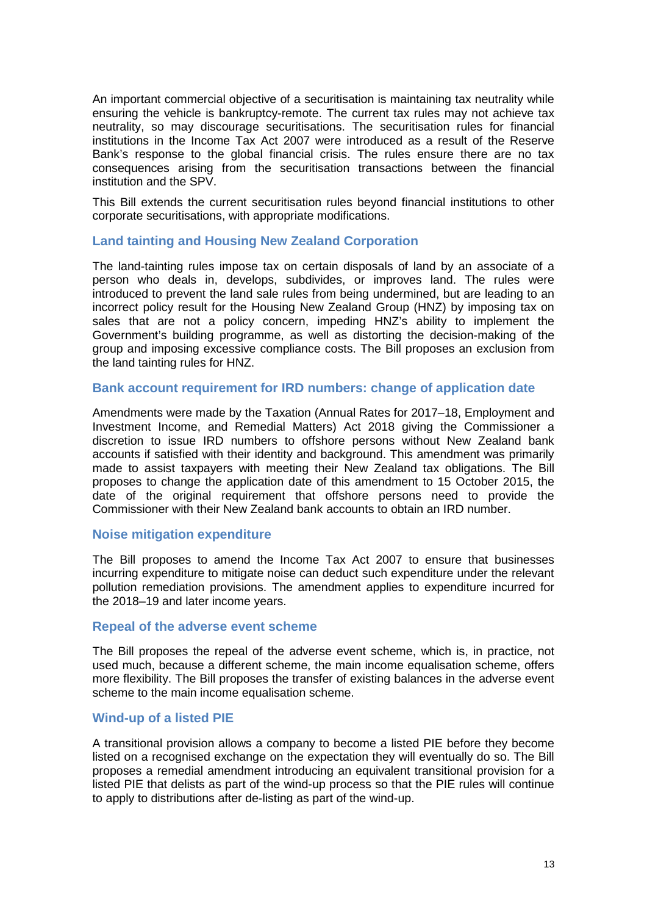An important commercial objective of a securitisation is maintaining tax neutrality while ensuring the vehicle is bankruptcy-remote. The current tax rules may not achieve tax neutrality, so may discourage securitisations. The securitisation rules for financial institutions in the Income Tax Act 2007 were introduced as a result of the Reserve Bank's response to the global financial crisis. The rules ensure there are no tax consequences arising from the securitisation transactions between the financial institution and the SPV.

This Bill extends the current securitisation rules beyond financial institutions to other corporate securitisations, with appropriate modifications.

### **Land tainting and Housing New Zealand Corporation**

The land-tainting rules impose tax on certain disposals of land by an associate of a person who deals in, develops, subdivides, or improves land. The rules were introduced to prevent the land sale rules from being undermined, but are leading to an incorrect policy result for the Housing New Zealand Group (HNZ) by imposing tax on sales that are not a policy concern, impeding HNZ's ability to implement the Government's building programme, as well as distorting the decision-making of the group and imposing excessive compliance costs. The Bill proposes an exclusion from the land tainting rules for HNZ.

#### **Bank account requirement for IRD numbers: change of application date**

Amendments were made by the Taxation (Annual Rates for 2017–18, Employment and Investment Income, and Remedial Matters) Act 2018 giving the Commissioner a discretion to issue IRD numbers to offshore persons without New Zealand bank accounts if satisfied with their identity and background. This amendment was primarily made to assist taxpayers with meeting their New Zealand tax obligations. The Bill proposes to change the application date of this amendment to 15 October 2015, the date of the original requirement that offshore persons need to provide the Commissioner with their New Zealand bank accounts to obtain an IRD number.

#### **Noise mitigation expenditure**

The Bill proposes to amend the Income Tax Act 2007 to ensure that businesses incurring expenditure to mitigate noise can deduct such expenditure under the relevant pollution remediation provisions. The amendment applies to expenditure incurred for the 2018–19 and later income years.

#### **Repeal of the adverse event scheme**

The Bill proposes the repeal of the adverse event scheme, which is, in practice, not used much, because a different scheme, the main income equalisation scheme, offers more flexibility. The Bill proposes the transfer of existing balances in the adverse event scheme to the main income equalisation scheme.

### **Wind-up of a listed PIE**

A transitional provision allows a company to become a listed PIE before they become listed on a recognised exchange on the expectation they will eventually do so. The Bill proposes a remedial amendment introducing an equivalent transitional provision for a listed PIE that delists as part of the wind-up process so that the PIE rules will continue to apply to distributions after de-listing as part of the wind-up.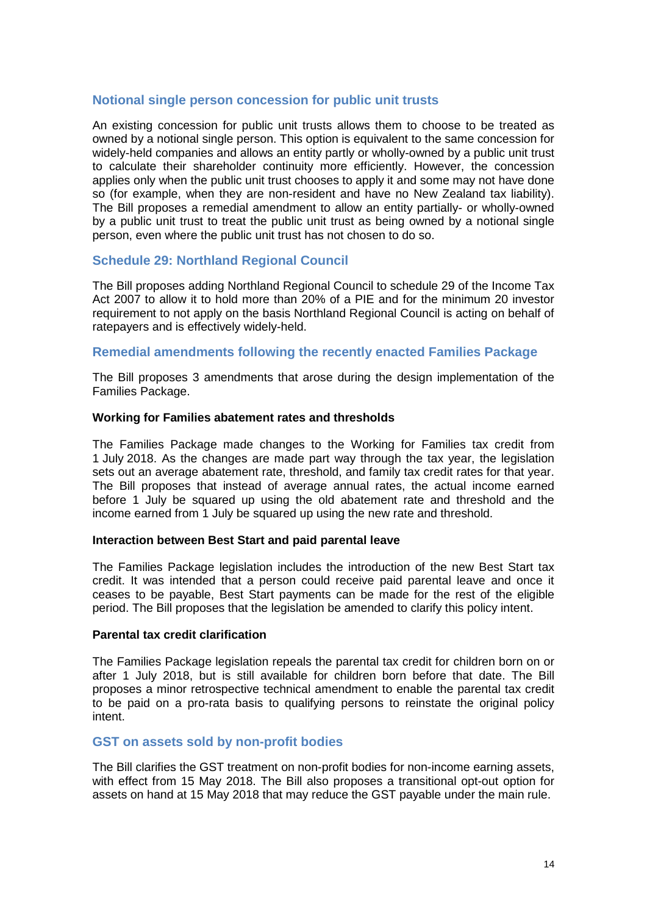## **Notional single person concession for public unit trusts**

An existing concession for public unit trusts allows them to choose to be treated as owned by a notional single person. This option is equivalent to the same concession for widely-held companies and allows an entity partly or wholly-owned by a public unit trust to calculate their shareholder continuity more efficiently. However, the concession applies only when the public unit trust chooses to apply it and some may not have done so (for example, when they are non-resident and have no New Zealand tax liability). The Bill proposes a remedial amendment to allow an entity partially- or wholly-owned by a public unit trust to treat the public unit trust as being owned by a notional single person, even where the public unit trust has not chosen to do so.

## **Schedule 29: Northland Regional Council**

The Bill proposes adding Northland Regional Council to schedule 29 of the Income Tax Act 2007 to allow it to hold more than 20% of a PIE and for the minimum 20 investor requirement to not apply on the basis Northland Regional Council is acting on behalf of ratepayers and is effectively widely-held.

## **Remedial amendments following the recently enacted Families Package**

The Bill proposes 3 amendments that arose during the design implementation of the Families Package.

#### **Working for Families abatement rates and thresholds**

The Families Package made changes to the Working for Families tax credit from 1 July 2018. As the changes are made part way through the tax year, the legislation sets out an average abatement rate, threshold, and family tax credit rates for that year. The Bill proposes that instead of average annual rates, the actual income earned before 1 July be squared up using the old abatement rate and threshold and the income earned from 1 July be squared up using the new rate and threshold.

#### **Interaction between Best Start and paid parental leave**

The Families Package legislation includes the introduction of the new Best Start tax credit. It was intended that a person could receive paid parental leave and once it ceases to be payable, Best Start payments can be made for the rest of the eligible period. The Bill proposes that the legislation be amended to clarify this policy intent.

#### **Parental tax credit clarification**

The Families Package legislation repeals the parental tax credit for children born on or after 1 July 2018, but is still available for children born before that date. The Bill proposes a minor retrospective technical amendment to enable the parental tax credit to be paid on a pro-rata basis to qualifying persons to reinstate the original policy intent.

### **GST on assets sold by non-profit bodies**

The Bill clarifies the GST treatment on non-profit bodies for non-income earning assets, with effect from 15 May 2018. The Bill also proposes a transitional opt-out option for assets on hand at 15 May 2018 that may reduce the GST payable under the main rule.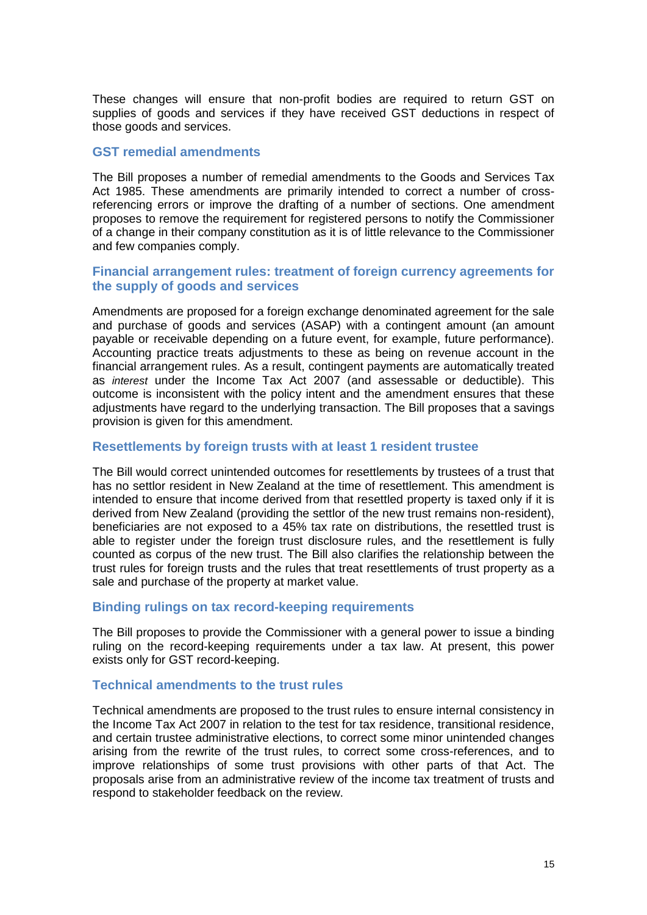These changes will ensure that non-profit bodies are required to return GST on supplies of goods and services if they have received GST deductions in respect of those goods and services.

#### **GST remedial amendments**

The Bill proposes a number of remedial amendments to the Goods and Services Tax Act 1985. These amendments are primarily intended to correct a number of crossreferencing errors or improve the drafting of a number of sections. One amendment proposes to remove the requirement for registered persons to notify the Commissioner of a change in their company constitution as it is of little relevance to the Commissioner and few companies comply.

## **Financial arrangement rules: treatment of foreign currency agreements for the supply of goods and services**

Amendments are proposed for a foreign exchange denominated agreement for the sale and purchase of goods and services (ASAP) with a contingent amount (an amount payable or receivable depending on a future event, for example, future performance). Accounting practice treats adjustments to these as being on revenue account in the financial arrangement rules. As a result, contingent payments are automatically treated as *interest* under the Income Tax Act 2007 (and assessable or deductible). This outcome is inconsistent with the policy intent and the amendment ensures that these adjustments have regard to the underlying transaction. The Bill proposes that a savings provision is given for this amendment.

## **Resettlements by foreign trusts with at least 1 resident trustee**

The Bill would correct unintended outcomes for resettlements by trustees of a trust that has no settlor resident in New Zealand at the time of resettlement. This amendment is intended to ensure that income derived from that resettled property is taxed only if it is derived from New Zealand (providing the settlor of the new trust remains non-resident), beneficiaries are not exposed to a 45% tax rate on distributions, the resettled trust is able to register under the foreign trust disclosure rules, and the resettlement is fully counted as corpus of the new trust. The Bill also clarifies the relationship between the trust rules for foreign trusts and the rules that treat resettlements of trust property as a sale and purchase of the property at market value.

### **Binding rulings on tax record-keeping requirements**

The Bill proposes to provide the Commissioner with a general power to issue a binding ruling on the record-keeping requirements under a tax law. At present, this power exists only for GST record-keeping.

## **Technical amendments to the trust rules**

Technical amendments are proposed to the trust rules to ensure internal consistency in the Income Tax Act 2007 in relation to the test for tax residence, transitional residence, and certain trustee administrative elections, to correct some minor unintended changes arising from the rewrite of the trust rules, to correct some cross-references, and to improve relationships of some trust provisions with other parts of that Act. The proposals arise from an administrative review of the income tax treatment of trusts and respond to stakeholder feedback on the review.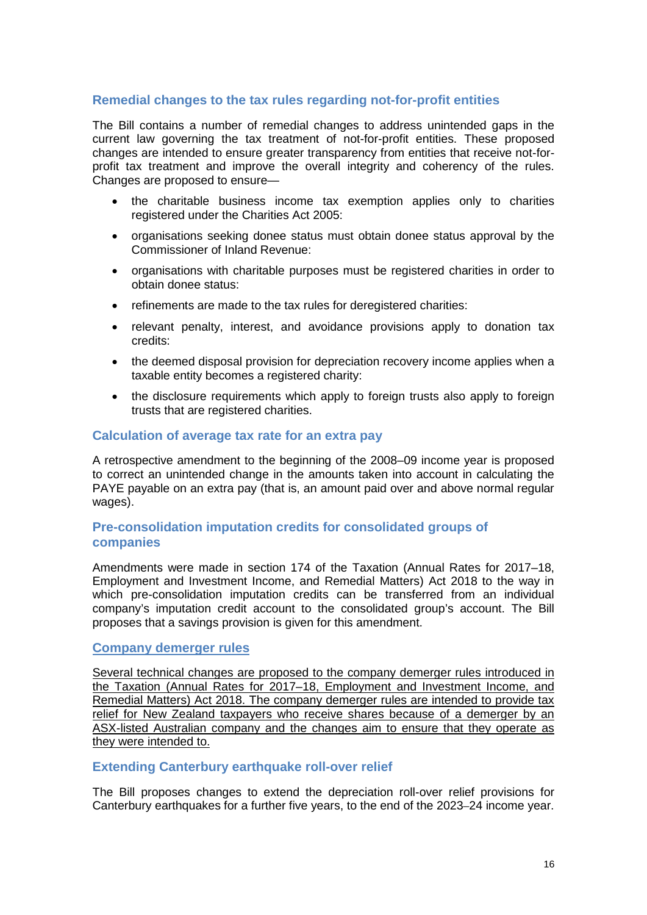## **Remedial changes to the tax rules regarding not-for-profit entities**

The Bill contains a number of remedial changes to address unintended gaps in the current law governing the tax treatment of not-for-profit entities. These proposed changes are intended to ensure greater transparency from entities that receive not-forprofit tax treatment and improve the overall integrity and coherency of the rules. Changes are proposed to ensure—

- the charitable business income tax exemption applies only to charities registered under the Charities Act 2005:
- organisations seeking donee status must obtain donee status approval by the Commissioner of Inland Revenue:
- organisations with charitable purposes must be registered charities in order to obtain donee status:
- refinements are made to the tax rules for deregistered charities:
- relevant penalty, interest, and avoidance provisions apply to donation tax credits:
- the deemed disposal provision for depreciation recovery income applies when a taxable entity becomes a registered charity:
- the disclosure requirements which apply to foreign trusts also apply to foreign trusts that are registered charities.

### **Calculation of average tax rate for an extra pay**

A retrospective amendment to the beginning of the 2008–09 income year is proposed to correct an unintended change in the amounts taken into account in calculating the PAYE payable on an extra pay (that is, an amount paid over and above normal regular wages).

## **Pre-consolidation imputation credits for consolidated groups of companies**

Amendments were made in section 174 of the Taxation (Annual Rates for 2017–18, Employment and Investment Income, and Remedial Matters) Act 2018 to the way in which pre-consolidation imputation credits can be transferred from an individual company's imputation credit account to the consolidated group's account. The Bill proposes that a savings provision is given for this amendment.

## **Company demerger rules**

Several technical changes are proposed to the company demerger rules introduced in the Taxation (Annual Rates for 2017–18, Employment and Investment Income, and Remedial Matters) Act 2018. The company demerger rules are intended to provide tax relief for New Zealand taxpayers who receive shares because of a demerger by an ASX-listed Australian company and the changes aim to ensure that they operate as they were intended to.

## **Extending Canterbury earthquake roll-over relief**

The Bill proposes changes to extend the depreciation roll-over relief provisions for Canterbury earthquakes for a further five years, to the end of the 2023–24 income year.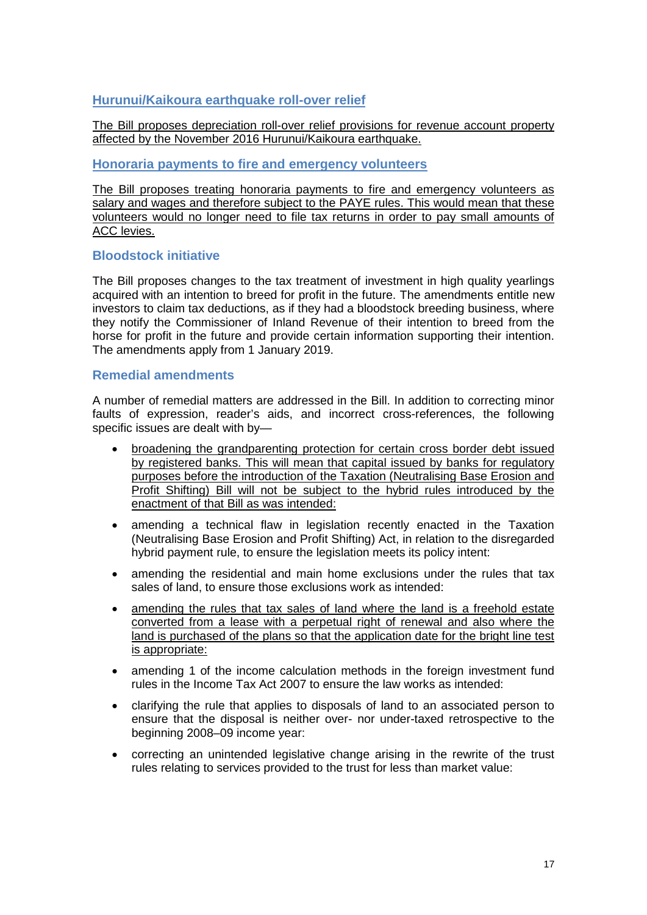## **Hurunui/Kaikoura earthquake roll-over relief**

The Bill proposes depreciation roll-over relief provisions for revenue account property affected by the November 2016 Hurunui/Kaikoura earthquake.

### **Honoraria payments to fire and emergency volunteers**

The Bill proposes treating honoraria payments to fire and emergency volunteers as salary and wages and therefore subject to the PAYE rules. This would mean that these volunteers would no longer need to file tax returns in order to pay small amounts of **ACC** levies.

## **Bloodstock initiative**

The Bill proposes changes to the tax treatment of investment in high quality yearlings acquired with an intention to breed for profit in the future. The amendments entitle new investors to claim tax deductions, as if they had a bloodstock breeding business, where they notify the Commissioner of Inland Revenue of their intention to breed from the horse for profit in the future and provide certain information supporting their intention. The amendments apply from 1 January 2019.

## **Remedial amendments**

A number of remedial matters are addressed in the Bill. In addition to correcting minor faults of expression, reader's aids, and incorrect cross-references, the following specific issues are dealt with by—

- broadening the grandparenting protection for certain cross border debt issued by registered banks. This will mean that capital issued by banks for regulatory purposes before the introduction of the Taxation (Neutralising Base Erosion and Profit Shifting) Bill will not be subject to the hybrid rules introduced by the enactment of that Bill as was intended:
- amending a technical flaw in legislation recently enacted in the Taxation (Neutralising Base Erosion and Profit Shifting) Act, in relation to the disregarded hybrid payment rule, to ensure the legislation meets its policy intent:
- amending the residential and main home exclusions under the rules that tax sales of land, to ensure those exclusions work as intended:
- amending the rules that tax sales of land where the land is a freehold estate converted from a lease with a perpetual right of renewal and also where the land is purchased of the plans so that the application date for the bright line test is appropriate:
- amending 1 of the income calculation methods in the foreign investment fund rules in the Income Tax Act 2007 to ensure the law works as intended:
- clarifying the rule that applies to disposals of land to an associated person to ensure that the disposal is neither over- nor under-taxed retrospective to the beginning 2008–09 income year:
- correcting an unintended legislative change arising in the rewrite of the trust rules relating to services provided to the trust for less than market value: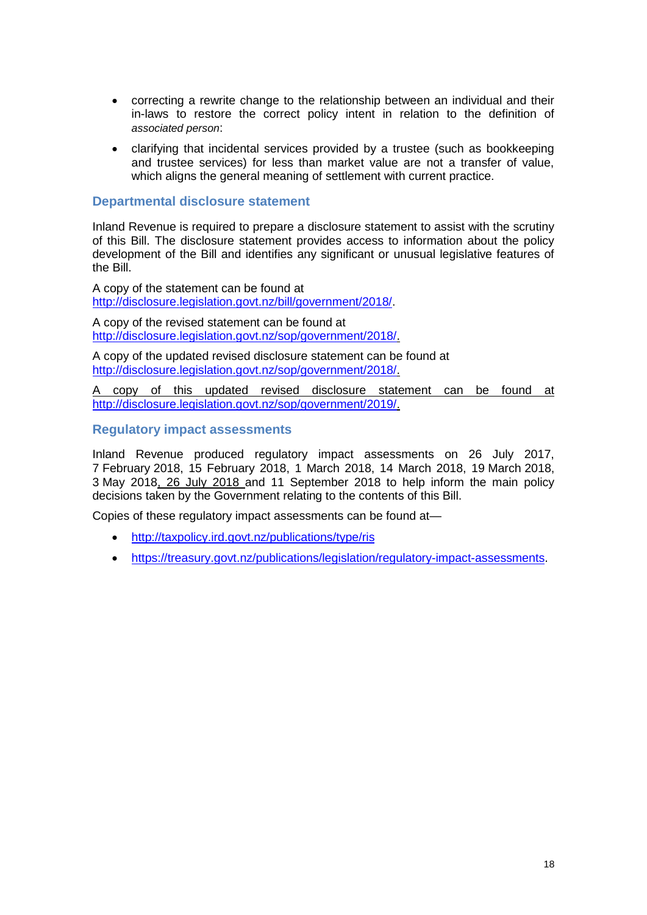- correcting a rewrite change to the relationship between an individual and their in-laws to restore the correct policy intent in relation to the definition of *associated person*:
- clarifying that incidental services provided by a trustee (such as bookkeeping and trustee services) for less than market value are not a transfer of value, which aligns the general meaning of settlement with current practice.

## **Departmental disclosure statement**

Inland Revenue is required to prepare a disclosure statement to assist with the scrutiny of this Bill. The disclosure statement provides access to information about the policy development of the Bill and identifies any significant or unusual legislative features of the Bill.

A copy of the statement can be found at [http://disclosure.legislation.govt.nz/bill/government/2018/.](http://disclosure.legislation.govt.nz/bill/government/2018/)

A copy of the revised statement can be found at [http://disclosure.legislation.govt.nz/sop/government/2018/.](http://disclosure.legislation.govt.nz/sop/government/2018/)

A copy of the updated revised disclosure statement can be found at [http://disclosure.legislation.govt.nz/sop/government/2018/.](http://disclosure.legislation.govt.nz/sop/government/2018/)

A copy of this updated revised disclosure statement can be found at [http://disclosure.legislation.govt.nz/sop/government/2019/.](http://disclosure.legislation.govt.nz/sop/government/2019/)

### **Regulatory impact assessments**

Inland Revenue produced regulatory impact assessments on 26 July 2017, 7 February 2018, 15 February 2018, 1 March 2018, 14 March 2018, 19 March 2018, 3 May 2018, 26 July 2018 and 11 September 2018 to help inform the main policy decisions taken by the Government relating to the contents of this Bill.

Copies of these regulatory impact assessments can be found at—

- <http://taxpolicy.ird.govt.nz/publications/type/ris>
- [https://treasury.govt.nz/publications/legislation/regulatory-impact-assessments.](https://treasury.govt.nz/publications/legislation/regulatory-impact-assessments)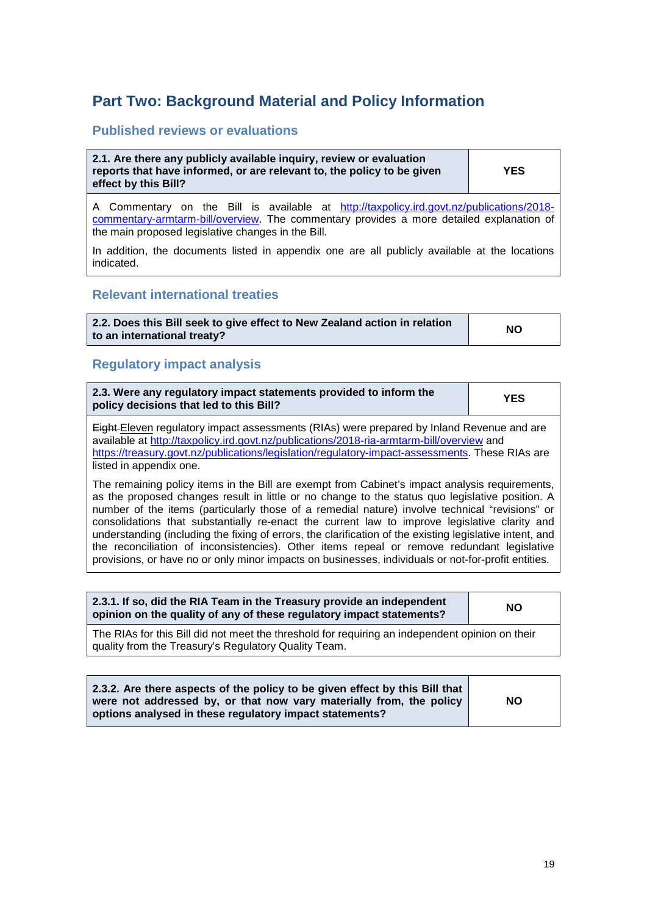## <span id="page-18-0"></span>**Part Two: Background Material and Policy Information**

### **Published reviews or evaluations**

**2.1. Are there any publicly available inquiry, review or evaluation reports that have informed, or are relevant to, the policy to be given effect by this Bill?**

**YES**

A Commentary on the Bill is available at [http://taxpolicy.ird.govt.nz/publications/2018](http://taxpolicy.ird.govt.nz/publications/2018-commentary-armtarm-bill/overview) [commentary-armtarm-bill/overview.](http://taxpolicy.ird.govt.nz/publications/2018-commentary-armtarm-bill/overview) The commentary provides a more detailed explanation of the main proposed legislative changes in the Bill.

In addition, the documents listed in appendix one are all publicly available at the locations indicated.

### **Relevant international treaties**

| 2.2. Does this Bill seek to give effect to New Zealand action in relation | <b>NO</b> |
|---------------------------------------------------------------------------|-----------|
| to an international treaty?                                               |           |

### **Regulatory impact analysis**

| 2.3. Were any regulatory impact statements provided to inform the<br>policy decisions that led to this Bill?                                                                                  | <b>YES</b> |
|-----------------------------------------------------------------------------------------------------------------------------------------------------------------------------------------------|------------|
| <b>Eight-Eleven regulatory impact assessments (RIAs) were prepared by Inland Revenue and are</b><br>available at http://taxpolicy.ird.govt.nz/publications/2018-ria-armtarm-bill/overview and |            |
| https://treasury.govt.nz/publications/legislation/regulatory-impact-assessments. These RIAs are                                                                                               |            |
| listed in appendix one.                                                                                                                                                                       |            |

The remaining policy items in the Bill are exempt from Cabinet's impact analysis requirements, as the proposed changes result in little or no change to the status quo legislative position. A number of the items (particularly those of a remedial nature) involve technical "revisions" or consolidations that substantially re-enact the current law to improve legislative clarity and understanding (including the fixing of errors, the clarification of the existing legislative intent, and the reconciliation of inconsistencies). Other items repeal or remove redundant legislative provisions, or have no or only minor impacts on businesses, individuals or not-for-profit entities.

| 2.3.1. If so, did the RIA Team in the Treasury provide an independent<br>opinion on the quality of any of these regulatory impact statements? | <b>NO</b> |
|-----------------------------------------------------------------------------------------------------------------------------------------------|-----------|
|                                                                                                                                               |           |

The RIAs for this Bill did not meet the threshold for requiring an independent opinion on their quality from the Treasury's Regulatory Quality Team.

|  | 2.3.2. Are there aspects of the policy to be given effect by this Bill that<br>were not addressed by, or that now vary materially from, the policy<br>options analysed in these regulatory impact statements? | NO. |
|--|---------------------------------------------------------------------------------------------------------------------------------------------------------------------------------------------------------------|-----|
|--|---------------------------------------------------------------------------------------------------------------------------------------------------------------------------------------------------------------|-----|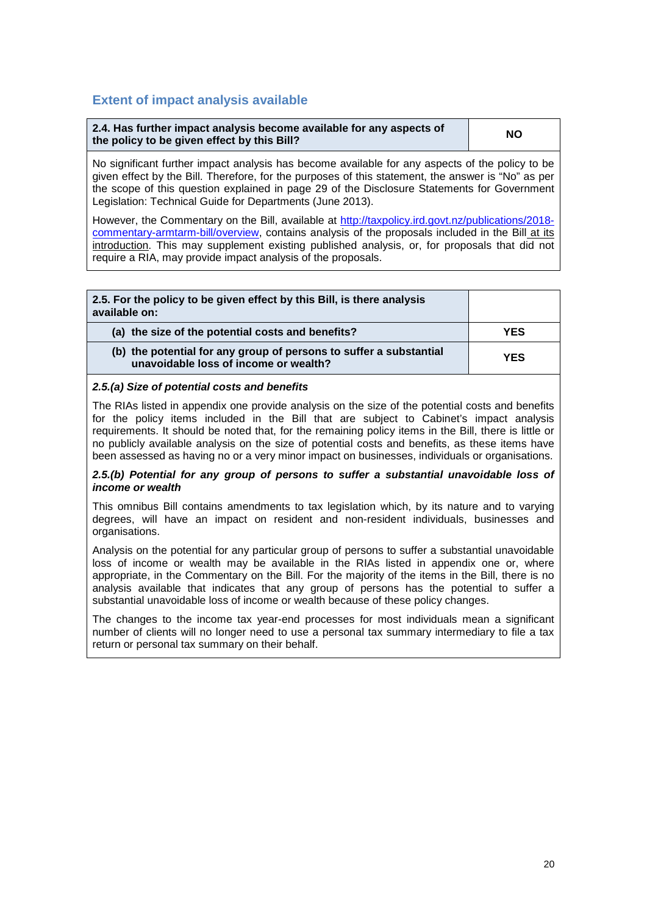## **Extent of impact analysis available**

| 2.4. Has further impact analysis become available for any aspects of | <b>NO</b> |
|----------------------------------------------------------------------|-----------|
| the policy to be given effect by this Bill?                          |           |

No significant further impact analysis has become available for any aspects of the policy to be given effect by the Bill. Therefore, for the purposes of this statement, the answer is "No" as per the scope of this question explained in page 29 of the Disclosure Statements for Government Legislation: Technical Guide for Departments (June 2013).

However, the Commentary on the Bill, available at [http://taxpolicy.ird.govt.nz/publications/2018](http://taxpolicy.ird.govt.nz/publications/2018-commentary-armtarm-bill/overview) [commentary-armtarm-bill/overview,](http://taxpolicy.ird.govt.nz/publications/2018-commentary-armtarm-bill/overview) contains analysis of the proposals included in the Bill at its introduction. This may supplement existing published analysis, or, for proposals that did not require a RIA, may provide impact analysis of the proposals.

| 2.5. For the policy to be given effect by this Bill, is there analysis<br>available on:                     |            |
|-------------------------------------------------------------------------------------------------------------|------------|
| (a) the size of the potential costs and benefits?                                                           | <b>YES</b> |
| (b) the potential for any group of persons to suffer a substantial<br>unavoidable loss of income or wealth? | <b>YES</b> |

#### *2.5.(a) Size of potential costs and benefits*

The RIAs listed in appendix one provide analysis on the size of the potential costs and benefits for the policy items included in the Bill that are subject to Cabinet's impact analysis requirements. It should be noted that, for the remaining policy items in the Bill, there is little or no publicly available analysis on the size of potential costs and benefits, as these items have been assessed as having no or a very minor impact on businesses, individuals or organisations.

#### *2.5.(b) Potential for any group of persons to suffer a substantial unavoidable loss of income or wealth*

This omnibus Bill contains amendments to tax legislation which, by its nature and to varying degrees, will have an impact on resident and non-resident individuals, businesses and organisations.

Analysis on the potential for any particular group of persons to suffer a substantial unavoidable loss of income or wealth may be available in the RIAs listed in appendix one or, where appropriate, in the Commentary on the Bill. For the majority of the items in the Bill, there is no analysis available that indicates that any group of persons has the potential to suffer a substantial unavoidable loss of income or wealth because of these policy changes.

The changes to the income tax year-end processes for most individuals mean a significant number of clients will no longer need to use a personal tax summary intermediary to file a tax return or personal tax summary on their behalf.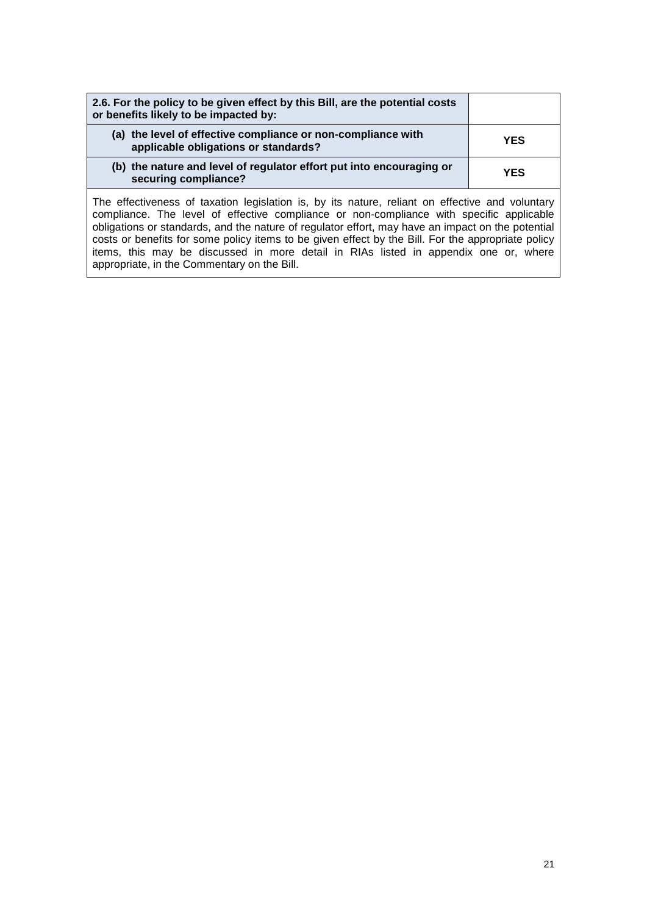| 2.6. For the policy to be given effect by this Bill, are the potential costs<br>or benefits likely to be impacted by: |            |
|-----------------------------------------------------------------------------------------------------------------------|------------|
| (a) the level of effective compliance or non-compliance with<br>applicable obligations or standards?                  | <b>YES</b> |
| (b) the nature and level of regulator effort put into encouraging or<br>securing compliance?                          | <b>YES</b> |

The effectiveness of taxation legislation is, by its nature, reliant on effective and voluntary compliance. The level of effective compliance or non-compliance with specific applicable obligations or standards, and the nature of regulator effort, may have an impact on the potential costs or benefits for some policy items to be given effect by the Bill. For the appropriate policy items, this may be discussed in more detail in RIAs listed in appendix one or, where appropriate, in the Commentary on the Bill.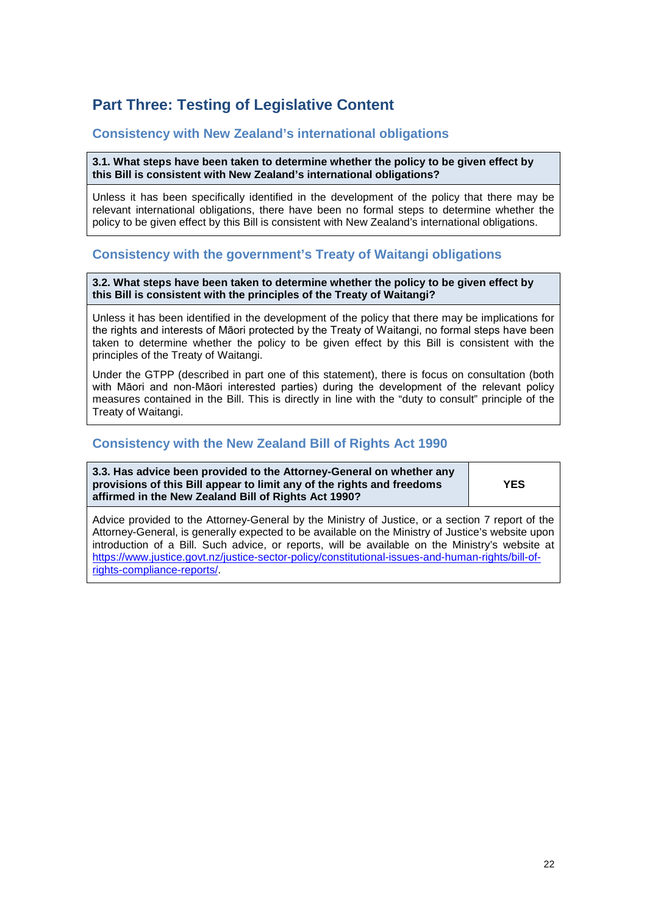## <span id="page-21-0"></span>**Part Three: Testing of Legislative Content**

## **Consistency with New Zealand's international obligations**

**3.1. What steps have been taken to determine whether the policy to be given effect by this Bill is consistent with New Zealand's international obligations?**

Unless it has been specifically identified in the development of the policy that there may be relevant international obligations, there have been no formal steps to determine whether the policy to be given effect by this Bill is consistent with New Zealand's international obligations.

## **Consistency with the government's Treaty of Waitangi obligations**

**3.2. What steps have been taken to determine whether the policy to be given effect by this Bill is consistent with the principles of the Treaty of Waitangi?**

Unless it has been identified in the development of the policy that there may be implications for the rights and interests of Māori protected by the Treaty of Waitangi, no formal steps have been taken to determine whether the policy to be given effect by this Bill is consistent with the principles of the Treaty of Waitangi.

Under the GTPP (described in part one of this statement), there is focus on consultation (both with Māori and non-Māori interested parties) during the development of the relevant policy measures contained in the Bill. This is directly in line with the "duty to consult" principle of the Treaty of Waitangi.

## **Consistency with the New Zealand Bill of Rights Act 1990**

**3.3. Has advice been provided to the Attorney-General on whether any provisions of this Bill appear to limit any of the rights and freedoms affirmed in the New Zealand Bill of Rights Act 1990?**

**YES**

Advice provided to the Attorney-General by the Ministry of Justice, or a section 7 report of the Attorney-General, is generally expected to be available on the Ministry of Justice's website upon introduction of a Bill. Such advice, or reports, will be available on the Ministry's website at [https://www.justice.govt.nz/justice-sector-policy/constitutional-issues-and-human-rights/bill-of](https://www.justice.govt.nz/justice-sector-policy/constitutional-issues-and-human-rights/bill-of-rights-compliance-reports/)[rights-compliance-reports/.](https://www.justice.govt.nz/justice-sector-policy/constitutional-issues-and-human-rights/bill-of-rights-compliance-reports/)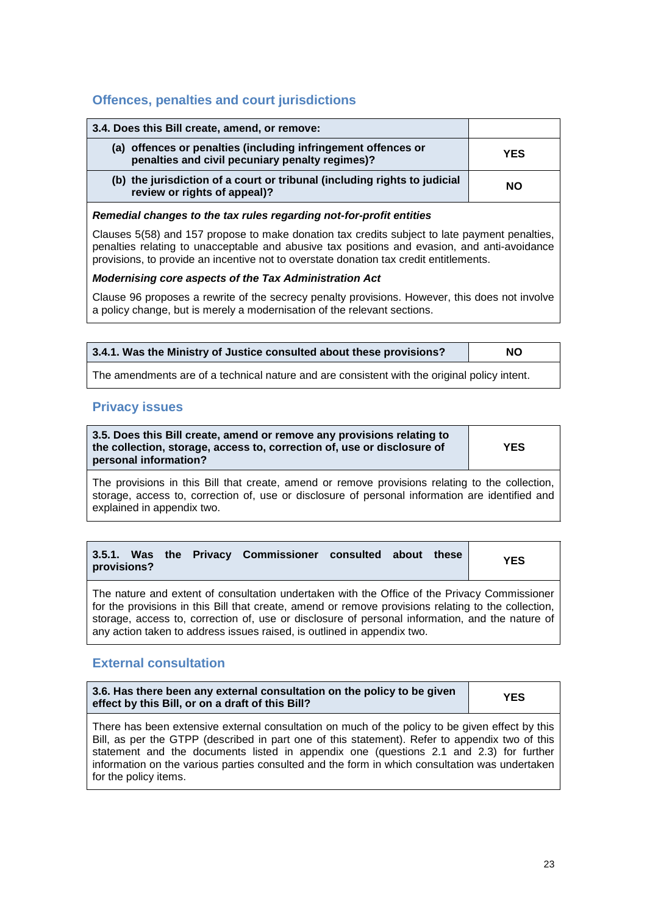## **Offences, penalties and court jurisdictions**

| 3.4. Does this Bill create, amend, or remove:                                                                    |            |
|------------------------------------------------------------------------------------------------------------------|------------|
| (a) offences or penalties (including infringement offences or<br>penalties and civil pecuniary penalty regimes)? | <b>YES</b> |
| (b) the jurisdiction of a court or tribunal (including rights to judicial<br>review or rights of appeal)?        | <b>NO</b>  |

#### *Remedial changes to the tax rules regarding not-for-profit entities*

Clauses 5(58) and 157 propose to make donation tax credits subject to late payment penalties, penalties relating to unacceptable and abusive tax positions and evasion, and anti-avoidance provisions, to provide an incentive not to overstate donation tax credit entitlements.

#### *Modernising core aspects of the Tax Administration Act*

Clause 96 proposes a rewrite of the secrecy penalty provisions. However, this does not involve a policy change, but is merely a modernisation of the relevant sections.

| 3.4.1. Was the Ministry of Justice consulted about these provisions? | ΝO |
|----------------------------------------------------------------------|----|
|----------------------------------------------------------------------|----|

The amendments are of a technical nature and are consistent with the original policy intent.

### **Privacy issues**

| 3.5. Does this Bill create, amend or remove any provisions relating to<br>the collection, storage, access to, correction of, use or disclosure of | <b>YES</b> |
|---------------------------------------------------------------------------------------------------------------------------------------------------|------------|
| personal information?                                                                                                                             |            |

The provisions in this Bill that create, amend or remove provisions relating to the collection, storage, access to, correction of, use or disclosure of personal information are identified and explained in appendix two.

| provisions?                                                                                  |  |  | 3.5.1. Was the Privacy Commissioner consulted about these |  |  |  | <b>YES</b> |
|----------------------------------------------------------------------------------------------|--|--|-----------------------------------------------------------|--|--|--|------------|
| The nature and extent of consultation undertaken with the Office of the Privacy Commissioner |  |  |                                                           |  |  |  |            |

for the provisions in this Bill that create, amend or remove provisions relating to the collection, storage, access to, correction of, use or disclosure of personal information, and the nature of any action taken to address issues raised, is outlined in appendix two.

### **External consultation**

| 3.6. Has there been any external consultation on the policy to be given<br>effect by this Bill, or on a draft of this Bill? | <b>YES</b> |
|-----------------------------------------------------------------------------------------------------------------------------|------------|
|-----------------------------------------------------------------------------------------------------------------------------|------------|

There has been extensive external consultation on much of the policy to be given effect by this Bill, as per the GTPP (described in part one of this statement). Refer to appendix two of this statement and the documents listed in appendix one (questions 2.1 and 2.3) for further information on the various parties consulted and the form in which consultation was undertaken for the policy items.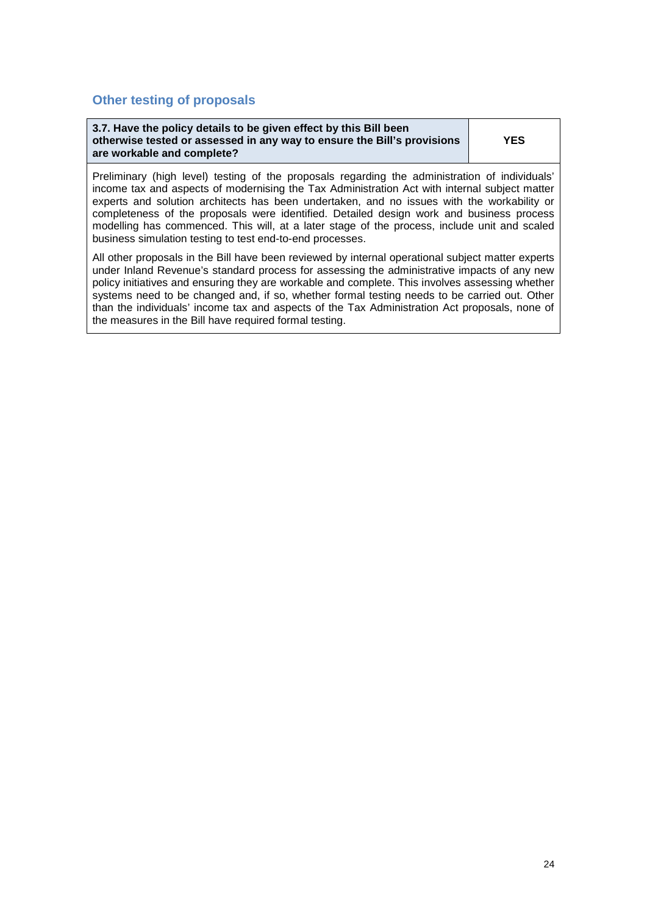## **Other testing of proposals**

| 3.7. Have the policy details to be given effect by this Bill been       |            |
|-------------------------------------------------------------------------|------------|
| otherwise tested or assessed in any way to ensure the Bill's provisions | <b>YES</b> |
| are workable and complete?                                              |            |

Preliminary (high level) testing of the proposals regarding the administration of individuals' income tax and aspects of modernising the Tax Administration Act with internal subject matter experts and solution architects has been undertaken, and no issues with the workability or completeness of the proposals were identified. Detailed design work and business process modelling has commenced. This will, at a later stage of the process, include unit and scaled business simulation testing to test end-to-end processes.

All other proposals in the Bill have been reviewed by internal operational subject matter experts under Inland Revenue's standard process for assessing the administrative impacts of any new policy initiatives and ensuring they are workable and complete. This involves assessing whether systems need to be changed and, if so, whether formal testing needs to be carried out. Other than the individuals' income tax and aspects of the Tax Administration Act proposals, none of the measures in the Bill have required formal testing.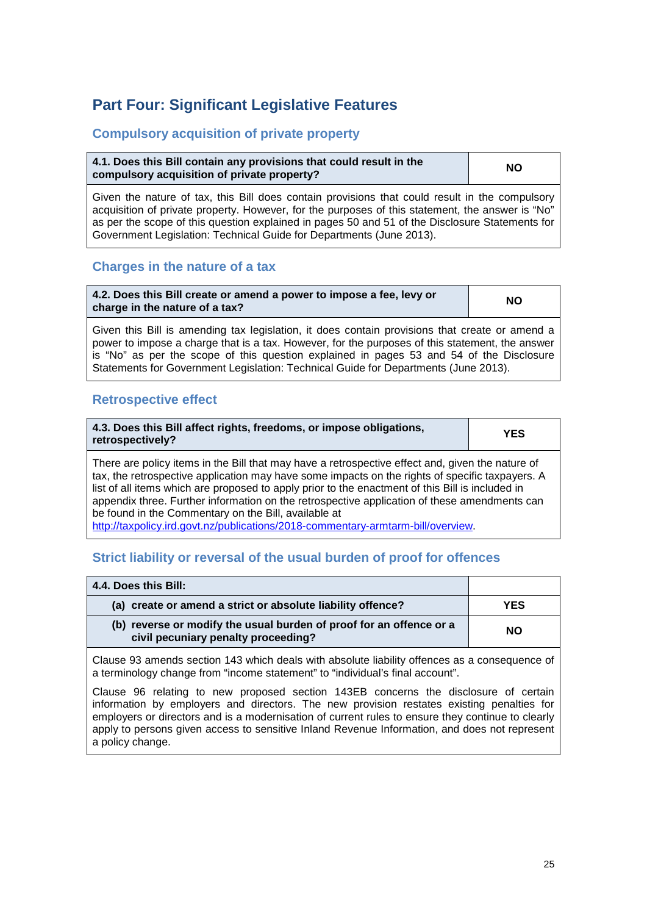## <span id="page-24-0"></span>**Part Four: Significant Legislative Features**

## **Compulsory acquisition of private property**

| 4.1. Does this Bill contain any provisions that could result in the | <b>NO</b> |
|---------------------------------------------------------------------|-----------|
| compulsory acquisition of private property?                         |           |

Given the nature of tax, this Bill does contain provisions that could result in the compulsory acquisition of private property. However, for the purposes of this statement, the answer is "No" as per the scope of this question explained in pages 50 and 51 of the Disclosure Statements for Government Legislation: Technical Guide for Departments (June 2013).

## **Charges in the nature of a tax**

**4.2. Does this Bill create or amend a power to impose a fee, levy or charge in the nature of a tax? NO**

Given this Bill is amending tax legislation, it does contain provisions that create or amend a power to impose a charge that is a tax. However, for the purposes of this statement, the answer is "No" as per the scope of this question explained in pages 53 and 54 of the Disclosure Statements for Government Legislation: Technical Guide for Departments (June 2013).

## **Retrospective effect**

| 4.3. Does this Bill affect rights, freedoms, or impose obligations,<br>retrospectively? |  |  |  |  | <b>YES</b> |  |  |  |  |  |  |  |  |  |  |
|-----------------------------------------------------------------------------------------|--|--|--|--|------------|--|--|--|--|--|--|--|--|--|--|
|                                                                                         |  |  |  |  |            |  |  |  |  |  |  |  |  |  |  |

There are policy items in the Bill that may have a retrospective effect and, given the nature of tax, the retrospective application may have some impacts on the rights of specific taxpayers. A list of all items which are proposed to apply prior to the enactment of this Bill is included in appendix three. Further information on the retrospective application of these amendments can be found in the Commentary on the Bill, available at

[http://taxpolicy.ird.govt.nz/publications/2018-commentary-armtarm-bill/overview.](http://taxpolicy.ird.govt.nz/publications/2018-commentary-armtarm-bill/overview)

## **Strict liability or reversal of the usual burden of proof for offences**

| 4.4. Does this Bill:                                                                                       |           |
|------------------------------------------------------------------------------------------------------------|-----------|
| (a) create or amend a strict or absolute liability offence?                                                | YES       |
| (b) reverse or modify the usual burden of proof for an offence or a<br>civil pecuniary penalty proceeding? | <b>NO</b> |

Clause 93 amends section 143 which deals with absolute liability offences as a consequence of a terminology change from "income statement" to "individual's final account".

Clause 96 relating to new proposed section 143EB concerns the disclosure of certain information by employers and directors. The new provision restates existing penalties for employers or directors and is a modernisation of current rules to ensure they continue to clearly apply to persons given access to sensitive Inland Revenue Information, and does not represent a policy change.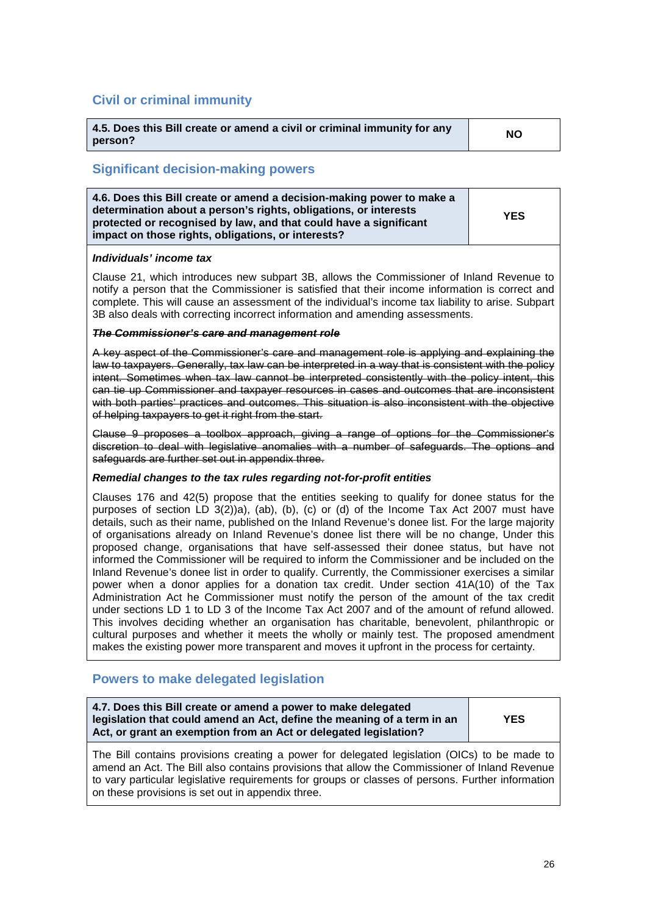## **Civil or criminal immunity**

| 4.5. Does this Bill create or amend a civil or criminal immunity for any | <b>NO</b> |
|--------------------------------------------------------------------------|-----------|
| person?                                                                  |           |

## **Significant decision-making powers**

| 4.6. Does this Bill create or amend a decision-making power to make a<br>determination about a person's rights, obligations, or interests<br>protected or recognised by law, and that could have a significant<br>impact on those rights, obligations, or interests? | <b>YES</b> |
|----------------------------------------------------------------------------------------------------------------------------------------------------------------------------------------------------------------------------------------------------------------------|------------|
|----------------------------------------------------------------------------------------------------------------------------------------------------------------------------------------------------------------------------------------------------------------------|------------|

#### *Individuals' income tax*

Clause 21, which introduces new subpart 3B, allows the Commissioner of Inland Revenue to notify a person that the Commissioner is satisfied that their income information is correct and complete. This will cause an assessment of the individual's income tax liability to arise. Subpart 3B also deals with correcting incorrect information and amending assessments.

#### *The Commissioner's care and management role*

A key aspect of the Commissioner's care and management role is applying and explaining the law to taxpayers. Generally, tax law can be interpreted in a way that is consistent with the policy intent. Sometimes when tax law cannot be interpreted consistently with the policy intent, this can tie up Commissioner and taxpayer resources in cases and outcomes that are inconsistent with both parties' practices and outcomes. This situation is also inconsistent with the objective of helping taxpayers to get it right from the start.

Clause 9 proposes a toolbox approach, giving a range of options for the Commissioner's discretion to deal with legislative anomalies with a number of safeguards. The options and safeguards are further set out in appendix three.

#### *Remedial changes to the tax rules regarding not-for-profit entities*

Clauses 176 and 42(5) propose that the entities seeking to qualify for donee status for the purposes of section LD 3(2))a), (ab), (b), (c) or (d) of the Income Tax Act 2007 must have details, such as their name, published on the Inland Revenue's donee list. For the large majority of organisations already on Inland Revenue's donee list there will be no change, Under this proposed change, organisations that have self-assessed their donee status, but have not informed the Commissioner will be required to inform the Commissioner and be included on the Inland Revenue's donee list in order to qualify. Currently, the Commissioner exercises a similar power when a donor applies for a donation tax credit. Under section 41A(10) of the Tax Administration Act he Commissioner must notify the person of the amount of the tax credit under sections LD 1 to LD 3 of the Income Tax Act 2007 and of the amount of refund allowed. This involves deciding whether an organisation has charitable, benevolent, philanthropic or cultural purposes and whether it meets the wholly or mainly test. The proposed amendment makes the existing power more transparent and moves it upfront in the process for certainty.

## **Powers to make delegated legislation**

| 4.7. Does this Bill create or amend a power to make delegated<br>legislation that could amend an Act, define the meaning of a term in an<br>Act, or grant an exemption from an Act or delegated legislation? | <b>YES</b> |
|--------------------------------------------------------------------------------------------------------------------------------------------------------------------------------------------------------------|------------|
|--------------------------------------------------------------------------------------------------------------------------------------------------------------------------------------------------------------|------------|

The Bill contains provisions creating a power for delegated legislation (OICs) to be made to amend an Act. The Bill also contains provisions that allow the Commissioner of Inland Revenue to vary particular legislative requirements for groups or classes of persons. Further information on these provisions is set out in appendix three.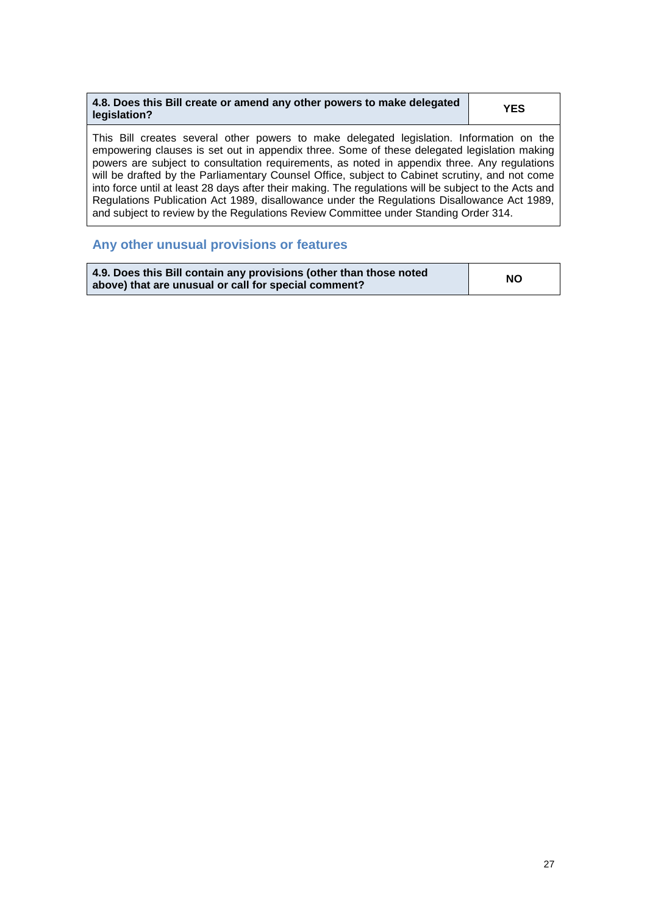| 4.8. Does this Bill create or amend any other powers to make delegated<br>legislation? | <b>YES</b> |
|----------------------------------------------------------------------------------------|------------|
|----------------------------------------------------------------------------------------|------------|

This Bill creates several other powers to make delegated legislation. Information on the empowering clauses is set out in appendix three. Some of these delegated legislation making powers are subject to consultation requirements, as noted in appendix three. Any regulations will be drafted by the Parliamentary Counsel Office, subject to Cabinet scrutiny, and not come into force until at least 28 days after their making. The regulations will be subject to the Acts and Regulations Publication Act 1989, disallowance under the Regulations Disallowance Act 1989, and subject to review by the Regulations Review Committee under Standing Order 314.

## **Any other unusual provisions or features**

| 4.9. Does this Bill contain any provisions (other than those noted | <b>NO</b> |
|--------------------------------------------------------------------|-----------|
| above) that are unusual or call for special comment?               |           |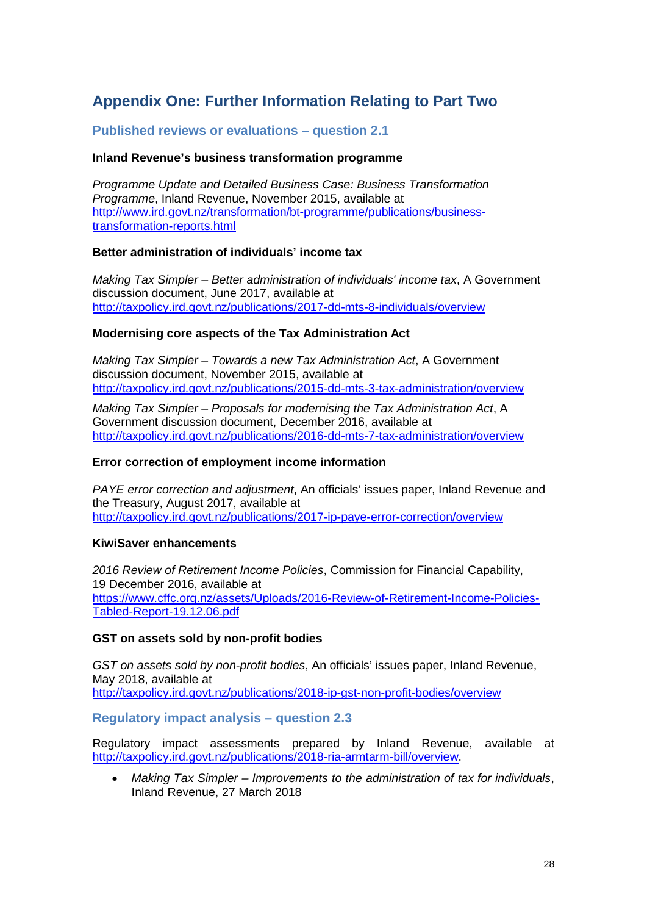## <span id="page-27-0"></span>**Appendix One: Further Information Relating to Part Two**

## **Published reviews or evaluations – question 2.1**

#### **Inland Revenue's business transformation programme**

*Programme Update and Detailed Business Case: Business Transformation Programme*, Inland Revenue, November 2015, available at [http://www.ird.govt.nz/transformation/bt-programme/publications/business](http://www.ird.govt.nz/transformation/bt-programme/publications/business-transformation-reports.html)[transformation-reports.html](http://www.ird.govt.nz/transformation/bt-programme/publications/business-transformation-reports.html)

#### **Better administration of individuals' income tax**

*Making Tax Simpler – Better administration of individuals' income tax*, A Government discussion document, June 2017, available at <http://taxpolicy.ird.govt.nz/publications/2017-dd-mts-8-individuals/overview>

### **Modernising core aspects of the Tax Administration Act**

*Making Tax Simpler – Towards a new Tax Administration Act*, A Government discussion document, November 2015, available at <http://taxpolicy.ird.govt.nz/publications/2015-dd-mts-3-tax-administration/overview>

*Making Tax Simpler – Proposals for modernising the Tax Administration Act*, A Government discussion document, December 2016, available at <http://taxpolicy.ird.govt.nz/publications/2016-dd-mts-7-tax-administration/overview>

#### **Error correction of employment income information**

*PAYE error correction and adjustment*, An officials' issues paper, Inland Revenue and the Treasury, August 2017, available at <http://taxpolicy.ird.govt.nz/publications/2017-ip-paye-error-correction/overview>

#### **KiwiSaver enhancements**

*2016 Review of Retirement Income Policies*, Commission for Financial Capability, 19 December 2016, available at [https://www.cffc.org.nz/assets/Uploads/2016-Review-of-Retirement-Income-Policies-](https://www.cffc.org.nz/assets/Uploads/2016-Review-of-Retirement-Income-Policies-Tabled-Report-19.12.06.pdf)[Tabled-Report-19.12.06.pdf](https://www.cffc.org.nz/assets/Uploads/2016-Review-of-Retirement-Income-Policies-Tabled-Report-19.12.06.pdf)

### **GST on assets sold by non-profit bodies**

*GST on assets sold by non-profit bodies*, An officials' issues paper, Inland Revenue, May 2018, available at <http://taxpolicy.ird.govt.nz/publications/2018-ip-gst-non-profit-bodies/overview>

### **Regulatory impact analysis – question 2.3**

Regulatory impact assessments prepared by Inland Revenue, available at [http://taxpolicy.ird.govt.nz/publications/2018-ria-armtarm-bill/overview.](http://taxpolicy.ird.govt.nz/publications/2018-ria-armtarm-bill/overview)

• *Making Tax Simpler – Improvements to the administration of tax for individuals*, Inland Revenue, 27 March 2018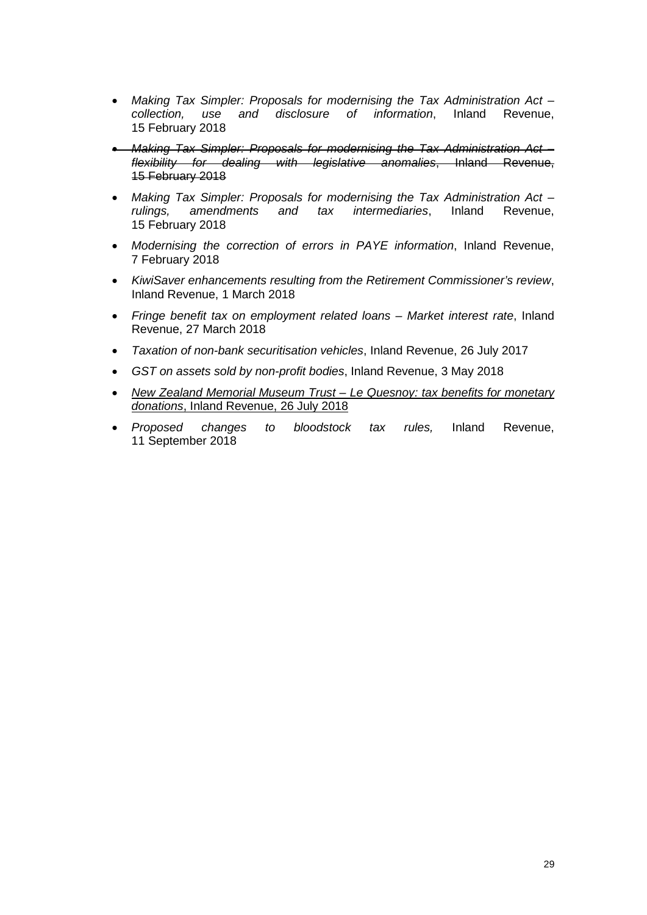- *Making Tax Simpler: Proposals for modernising the Tax Administration Act – collection, use and disclosure of information*, Inland Revenue, 15 February 2018
- *Making Tax Simpler: Proposals for modernising the Tax Administration Act – flexibility for dealing with legislative anomalies*, Inland Revenue, 15 February 2018
- *Making Tax Simpler: Proposals for modernising the Tax Administration Act – rulings, amendments and tax intermediaries*, Inland Revenue, 15 February 2018
- *Modernising the correction of errors in PAYE information*, Inland Revenue, 7 February 2018
- *KiwiSaver enhancements resulting from the Retirement Commissioner's review*, Inland Revenue, 1 March 2018
- *Fringe benefit tax on employment related loans – Market interest rate*, Inland Revenue, 27 March 2018
- *Taxation of non-bank securitisation vehicles*, Inland Revenue, 26 July 2017
- *GST on assets sold by non-profit bodies*, Inland Revenue, 3 May 2018
- *New Zealand Memorial Museum Trust – Le Quesnoy: tax benefits for monetary donations*, Inland Revenue, 26 July 2018
- *Proposed changes to bloodstock tax rules,* Inland Revenue, 11 September 2018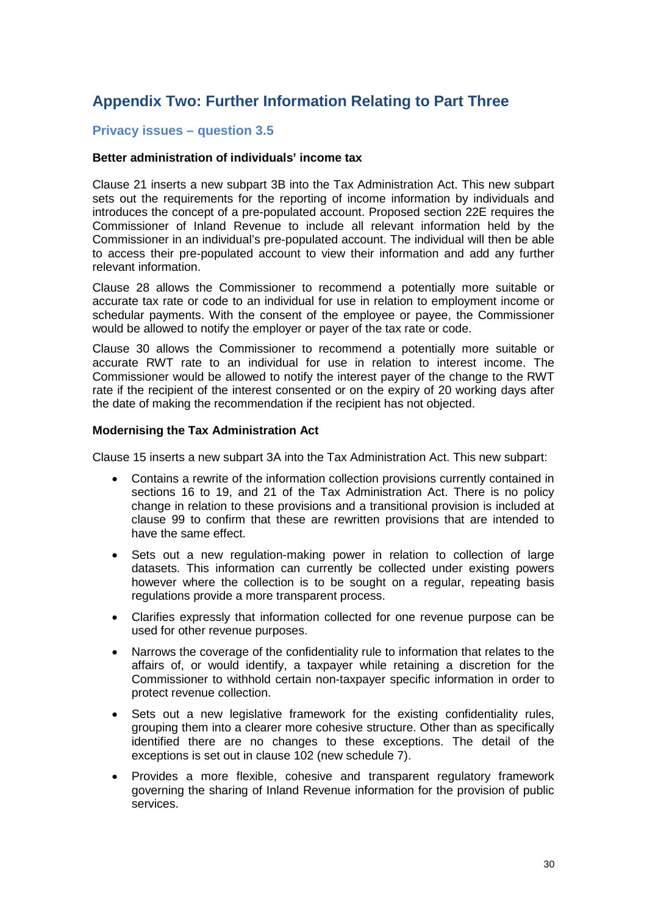## <span id="page-29-0"></span>**Appendix Two: Further Information Relating to Part Three**

## **Privacy issues – question 3.5**

#### **Better administration of individuals' income tax**

Clause 21 inserts a new subpart 3B into the Tax Administration Act. This new subpart sets out the requirements for the reporting of income information by individuals and introduces the concept of a pre-populated account. Proposed section 22E requires the Commissioner of Inland Revenue to include all relevant information held by the Commissioner in an individual's pre-populated account. The individual will then be able to access their pre-populated account to view their information and add any further relevant information.

Clause 28 allows the Commissioner to recommend a potentially more suitable or accurate tax rate or code to an individual for use in relation to employment income or schedular payments. With the consent of the employee or payee, the Commissioner would be allowed to notify the employer or payer of the tax rate or code.

Clause 30 allows the Commissioner to recommend a potentially more suitable or accurate RWT rate to an individual for use in relation to interest income. The Commissioner would be allowed to notify the interest payer of the change to the RWT rate if the recipient of the interest consented or on the expiry of 20 working days after the date of making the recommendation if the recipient has not objected.

#### **Modernising the Tax Administration Act**

Clause 15 inserts a new subpart 3A into the Tax Administration Act. This new subpart:

- Contains a rewrite of the information collection provisions currently contained in sections 16 to 19, and 21 of the Tax Administration Act. There is no policy change in relation to these provisions and a transitional provision is included at clause 99 to confirm that these are rewritten provisions that are intended to have the same effect.
- Sets out a new regulation-making power in relation to collection of large datasets. This information can currently be collected under existing powers however where the collection is to be sought on a regular, repeating basis regulations provide a more transparent process.
- Clarifies expressly that information collected for one revenue purpose can be used for other revenue purposes.
- Narrows the coverage of the confidentiality rule to information that relates to the affairs of, or would identify, a taxpayer while retaining a discretion for the Commissioner to withhold certain non-taxpayer specific information in order to protect revenue collection.
- Sets out a new legislative framework for the existing confidentiality rules, grouping them into a clearer more cohesive structure. Other than as specifically identified there are no changes to these exceptions. The detail of the exceptions is set out in clause 102 (new schedule 7).
- Provides a more flexible, cohesive and transparent regulatory framework governing the sharing of Inland Revenue information for the provision of public services.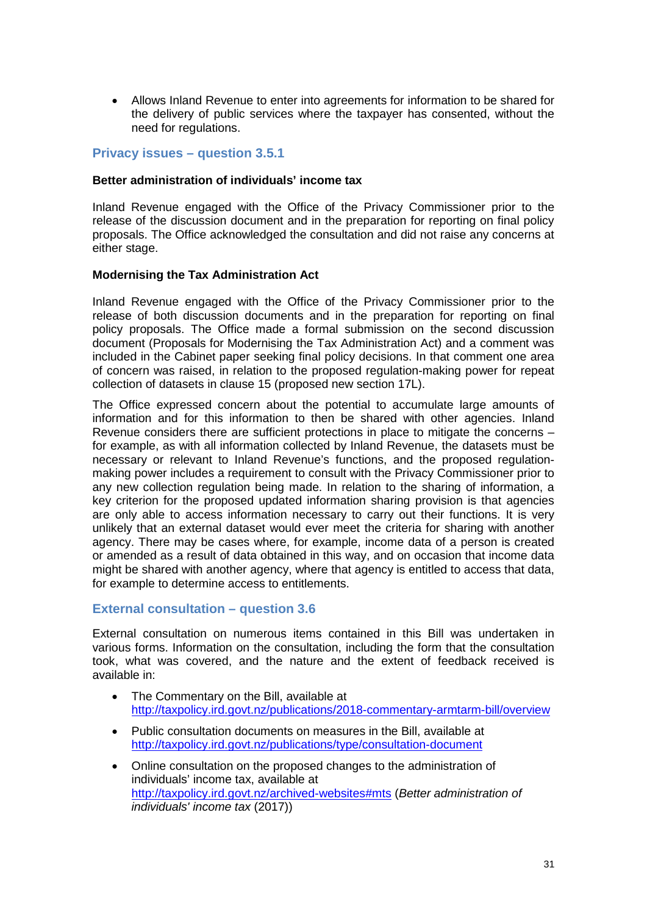• Allows Inland Revenue to enter into agreements for information to be shared for the delivery of public services where the taxpayer has consented, without the need for regulations.

## **Privacy issues – question 3.5.1**

#### **Better administration of individuals' income tax**

Inland Revenue engaged with the Office of the Privacy Commissioner prior to the release of the discussion document and in the preparation for reporting on final policy proposals. The Office acknowledged the consultation and did not raise any concerns at either stage.

#### **Modernising the Tax Administration Act**

Inland Revenue engaged with the Office of the Privacy Commissioner prior to the release of both discussion documents and in the preparation for reporting on final policy proposals. The Office made a formal submission on the second discussion document (Proposals for Modernising the Tax Administration Act) and a comment was included in the Cabinet paper seeking final policy decisions. In that comment one area of concern was raised, in relation to the proposed regulation-making power for repeat collection of datasets in clause 15 (proposed new section 17L).

The Office expressed concern about the potential to accumulate large amounts of information and for this information to then be shared with other agencies. Inland Revenue considers there are sufficient protections in place to mitigate the concerns – for example, as with all information collected by Inland Revenue, the datasets must be necessary or relevant to Inland Revenue's functions, and the proposed regulationmaking power includes a requirement to consult with the Privacy Commissioner prior to any new collection regulation being made. In relation to the sharing of information, a key criterion for the proposed updated information sharing provision is that agencies are only able to access information necessary to carry out their functions. It is very unlikely that an external dataset would ever meet the criteria for sharing with another agency. There may be cases where, for example, income data of a person is created or amended as a result of data obtained in this way, and on occasion that income data might be shared with another agency, where that agency is entitled to access that data, for example to determine access to entitlements.

### **External consultation – question 3.6**

External consultation on numerous items contained in this Bill was undertaken in various forms. Information on the consultation, including the form that the consultation took, what was covered, and the nature and the extent of feedback received is available in:

- The Commentary on the Bill, available at <http://taxpolicy.ird.govt.nz/publications/2018-commentary-armtarm-bill/overview>
- Public consultation documents on measures in the Bill, available at <http://taxpolicy.ird.govt.nz/publications/type/consultation-document>
- Online consultation on the proposed changes to the administration of individuals' income tax, available at [http://taxpolicy.ird.govt.nz/archived-websites#mts](http://taxpolicy.ird.govt.nz/archived-websites%23mts) (*Better administration of individuals' income tax* (2017))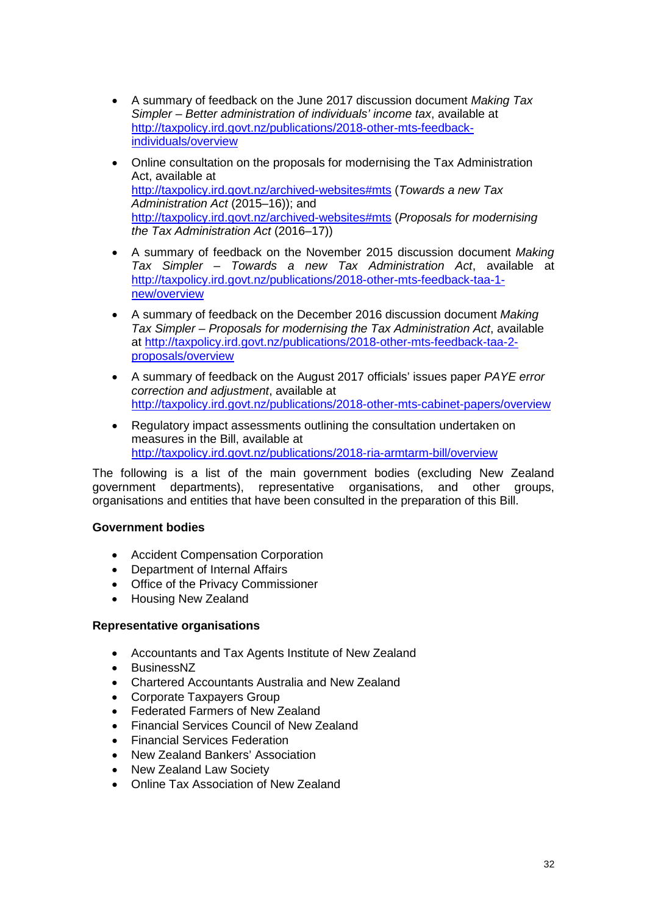- A summary of feedback on the June 2017 discussion document *Making Tax Simpler – Better administration of individuals' income tax*, available at [http://taxpolicy.ird.govt.nz/publications/2018-other-mts-feedback](http://taxpolicy.ird.govt.nz/publications/2018-other-mts-feedback-individuals/overview)[individuals/overview](http://taxpolicy.ird.govt.nz/publications/2018-other-mts-feedback-individuals/overview)
- Online consultation on the proposals for modernising the Tax Administration Act, available at [http://taxpolicy.ird.govt.nz/archived-websites#mts](http://taxpolicy.ird.govt.nz/archived-websites%23mts) (*Towards a new Tax Administration Act* (2015–16)); and [http://taxpolicy.ird.govt.nz/archived-websites#mts](http://taxpolicy.ird.govt.nz/archived-websites%23mts) (*Proposals for modernising the Tax Administration Act* (2016–17))
- A summary of feedback on the November 2015 discussion document *Making Tax Simpler – Towards a new Tax Administration Act*, available at [http://taxpolicy.ird.govt.nz/publications/2018-other-mts-feedback-taa-1](http://taxpolicy.ird.govt.nz/publications/2018-other-mts-feedback-taa-1-new/overview) [new/overview](http://taxpolicy.ird.govt.nz/publications/2018-other-mts-feedback-taa-1-new/overview)
- A summary of feedback on the December 2016 discussion document *Making Tax Simpler – Proposals for modernising the Tax Administration Act*, available at [http://taxpolicy.ird.govt.nz/publications/2018-other-mts-feedback-taa-2](http://taxpolicy.ird.govt.nz/publications/2018-other-mts-feedback-taa-2-proposals/overview) [proposals/overview](http://taxpolicy.ird.govt.nz/publications/2018-other-mts-feedback-taa-2-proposals/overview)
- A summary of feedback on the August 2017 officials' issues paper *PAYE error correction and adjustment*, available at <http://taxpolicy.ird.govt.nz/publications/2018-other-mts-cabinet-papers/overview>
- Regulatory impact assessments outlining the consultation undertaken on measures in the Bill, available at <http://taxpolicy.ird.govt.nz/publications/2018-ria-armtarm-bill/overview>

The following is a list of the main government bodies (excluding New Zealand government departments), representative organisations, and other groups, organisations and entities that have been consulted in the preparation of this Bill.

## **Government bodies**

- Accident Compensation Corporation
- Department of Internal Affairs
- Office of the Privacy Commissioner
- Housing New Zealand

### **Representative organisations**

- Accountants and Tax Agents Institute of New Zealand
- BusinessNZ
- Chartered Accountants Australia and New Zealand
- Corporate Taxpayers Group
- Federated Farmers of New Zealand
- Financial Services Council of New Zealand
- Financial Services Federation
- New Zealand Bankers' Association
- New Zealand Law Society
- Online Tax Association of New Zealand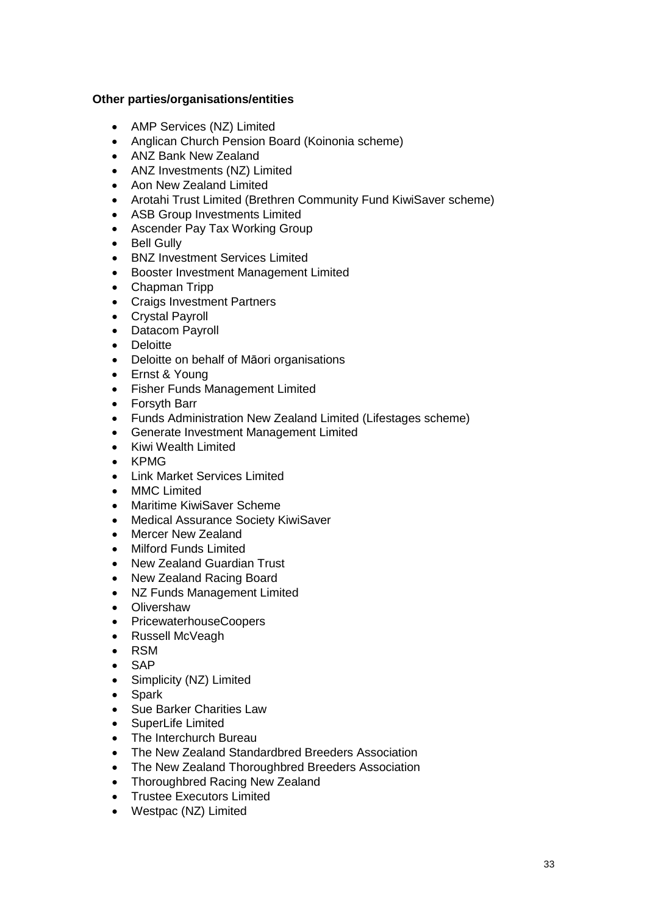## **Other parties/organisations/entities**

- AMP Services (NZ) Limited
- Anglican Church Pension Board (Koinonia scheme)
- ANZ Bank New Zealand
- ANZ Investments (NZ) Limited
- Aon New Zealand Limited
- Arotahi Trust Limited (Brethren Community Fund KiwiSaver scheme)
- ASB Group Investments Limited
- Ascender Pay Tax Working Group
- Bell Gully
- BNZ Investment Services Limited
- Booster Investment Management Limited
- Chapman Tripp
- Craigs Investment Partners
- Crystal Payroll
- Datacom Payroll
- Deloitte
- Deloitte on behalf of Māori organisations
- Ernst & Young
- Fisher Funds Management Limited
- Forsyth Barr
- Funds Administration New Zealand Limited (Lifestages scheme)
- Generate Investment Management Limited
- Kiwi Wealth Limited
- KPMG
- Link Market Services Limited
- MMC Limited
- Maritime KiwiSaver Scheme
- Medical Assurance Society KiwiSaver
- Mercer New Zealand
- Milford Funds Limited
- New Zealand Guardian Trust
- New Zealand Racing Board
- NZ Funds Management Limited
- Olivershaw
- PricewaterhouseCoopers
- Russell McVeagh
- RSM
- SAP
- Simplicity (NZ) Limited
- Spark
- Sue Barker Charities Law
- SuperLife Limited
- The Interchurch Bureau
- The New Zealand Standardbred Breeders Association
- The New Zealand Thoroughbred Breeders Association
- Thoroughbred Racing New Zealand
- Trustee Executors Limited
- Westpac (NZ) Limited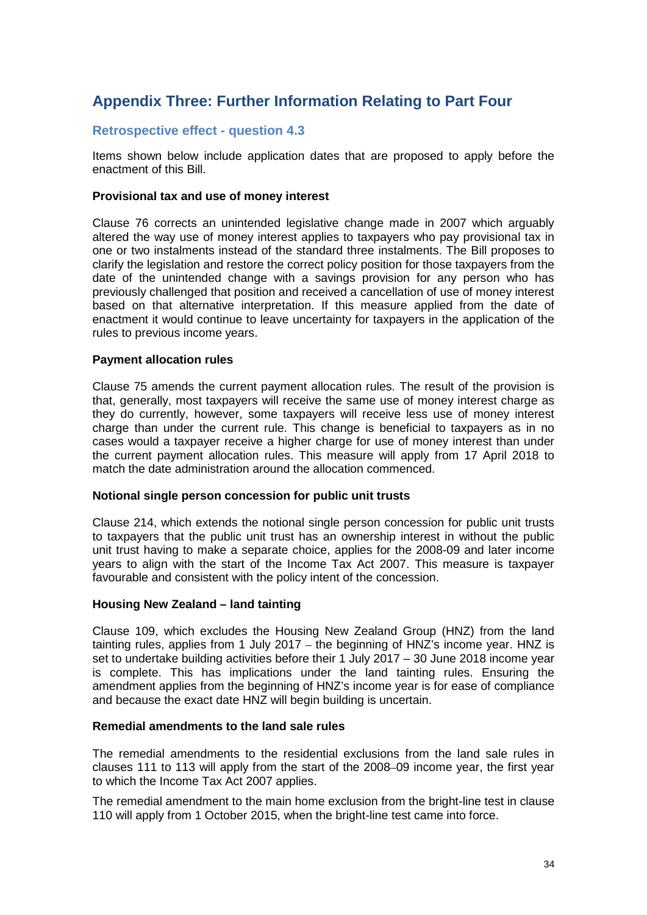## <span id="page-33-0"></span>**Appendix Three: Further Information Relating to Part Four**

## **Retrospective effect - question 4.3**

Items shown below include application dates that are proposed to apply before the enactment of this Bill.

#### **Provisional tax and use of money interest**

Clause 76 corrects an unintended legislative change made in 2007 which arguably altered the way use of money interest applies to taxpayers who pay provisional tax in one or two instalments instead of the standard three instalments. The Bill proposes to clarify the legislation and restore the correct policy position for those taxpayers from the date of the unintended change with a savings provision for any person who has previously challenged that position and received a cancellation of use of money interest based on that alternative interpretation. If this measure applied from the date of enactment it would continue to leave uncertainty for taxpayers in the application of the rules to previous income years.

#### **Payment allocation rules**

Clause 75 amends the current payment allocation rules. The result of the provision is that, generally, most taxpayers will receive the same use of money interest charge as they do currently, however, some taxpayers will receive less use of money interest charge than under the current rule. This change is beneficial to taxpayers as in no cases would a taxpayer receive a higher charge for use of money interest than under the current payment allocation rules. This measure will apply from 17 April 2018 to match the date administration around the allocation commenced.

#### **Notional single person concession for public unit trusts**

Clause 214, which extends the notional single person concession for public unit trusts to taxpayers that the public unit trust has an ownership interest in without the public unit trust having to make a separate choice, applies for the 2008-09 and later income years to align with the start of the Income Tax Act 2007. This measure is taxpayer favourable and consistent with the policy intent of the concession.

#### **Housing New Zealand – land tainting**

Clause 109, which excludes the Housing New Zealand Group (HNZ) from the land tainting rules, applies from 1 July 2017 – the beginning of HNZ's income year. HNZ is set to undertake building activities before their 1 July 2017 – 30 June 2018 income year is complete. This has implications under the land tainting rules. Ensuring the amendment applies from the beginning of HNZ's income year is for ease of compliance and because the exact date HNZ will begin building is uncertain.

#### **Remedial amendments to the land sale rules**

The remedial amendments to the residential exclusions from the land sale rules in clauses 111 to 113 will apply from the start of the 2008–09 income year, the first year to which the Income Tax Act 2007 applies.

The remedial amendment to the main home exclusion from the bright-line test in clause 110 will apply from 1 October 2015, when the bright-line test came into force.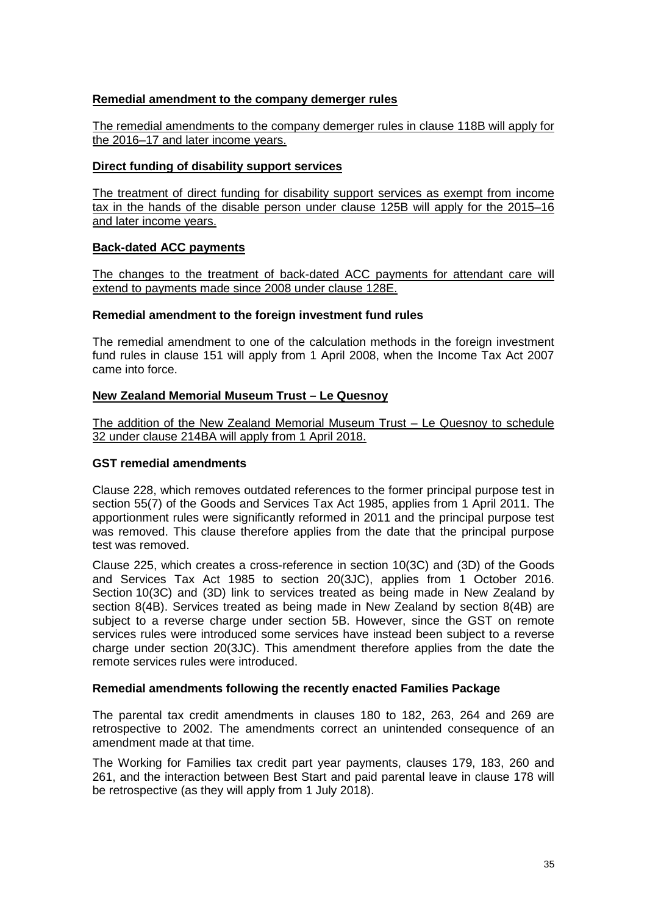## **Remedial amendment to the company demerger rules**

The remedial amendments to the company demerger rules in clause 118B will apply for the 2016–17 and later income years.

#### **Direct funding of disability support services**

The treatment of direct funding for disability support services as exempt from income tax in the hands of the disable person under clause 125B will apply for the 2015–16 and later income years.

#### **Back-dated ACC payments**

The changes to the treatment of back-dated ACC payments for attendant care will extend to payments made since 2008 under clause 128E.

#### **Remedial amendment to the foreign investment fund rules**

The remedial amendment to one of the calculation methods in the foreign investment fund rules in clause 151 will apply from 1 April 2008, when the Income Tax Act 2007 came into force.

#### **New Zealand Memorial Museum Trust – Le Quesnoy**

The addition of the New Zealand Memorial Museum Trust – Le Quesnoy to schedule 32 under clause 214BA will apply from 1 April 2018.

#### **GST remedial amendments**

Clause 228, which removes outdated references to the former principal purpose test in section 55(7) of the Goods and Services Tax Act 1985, applies from 1 April 2011. The apportionment rules were significantly reformed in 2011 and the principal purpose test was removed. This clause therefore applies from the date that the principal purpose test was removed.

Clause 225, which creates a cross-reference in section 10(3C) and (3D) of the Goods and Services Tax Act 1985 to section 20(3JC), applies from 1 October 2016. Section 10(3C) and (3D) link to services treated as being made in New Zealand by section 8(4B). Services treated as being made in New Zealand by section 8(4B) are subject to a reverse charge under section 5B. However, since the GST on remote services rules were introduced some services have instead been subject to a reverse charge under section 20(3JC). This amendment therefore applies from the date the remote services rules were introduced.

#### **Remedial amendments following the recently enacted Families Package**

The parental tax credit amendments in clauses 180 to 182, 263, 264 and 269 are retrospective to 2002. The amendments correct an unintended consequence of an amendment made at that time.

The Working for Families tax credit part year payments, clauses 179, 183, 260 and 261, and the interaction between Best Start and paid parental leave in clause 178 will be retrospective (as they will apply from 1 July 2018).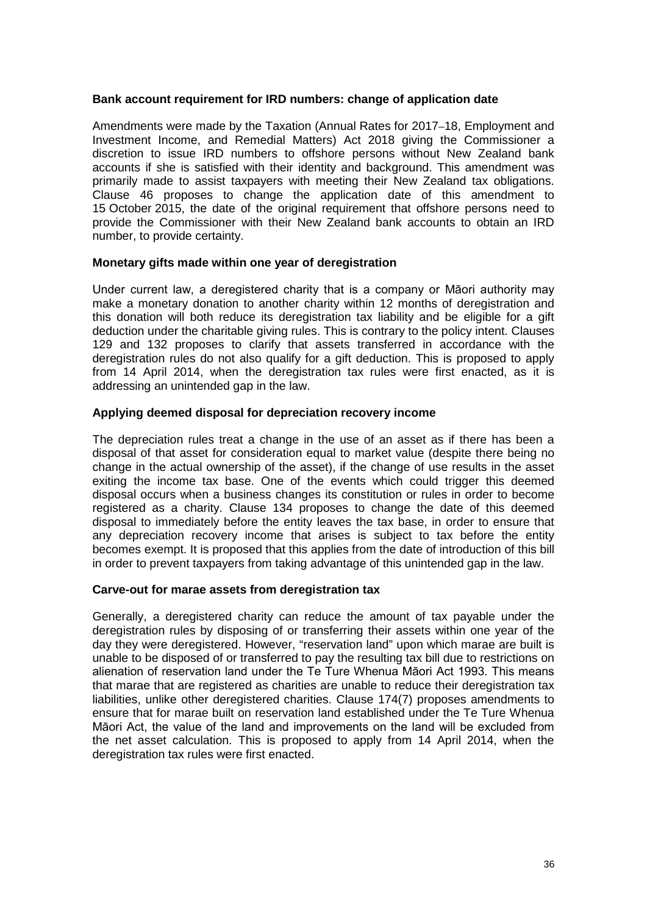#### **Bank account requirement for IRD numbers: change of application date**

Amendments were made by the Taxation (Annual Rates for 2017–18, Employment and Investment Income, and Remedial Matters) Act 2018 giving the Commissioner a discretion to issue IRD numbers to offshore persons without New Zealand bank accounts if she is satisfied with their identity and background. This amendment was primarily made to assist taxpayers with meeting their New Zealand tax obligations. Clause 46 proposes to change the application date of this amendment to 15 October 2015, the date of the original requirement that offshore persons need to provide the Commissioner with their New Zealand bank accounts to obtain an IRD number, to provide certainty.

#### **Monetary gifts made within one year of deregistration**

Under current law, a deregistered charity that is a company or Māori authority may make a monetary donation to another charity within 12 months of deregistration and this donation will both reduce its deregistration tax liability and be eligible for a gift deduction under the charitable giving rules. This is contrary to the policy intent. Clauses 129 and 132 proposes to clarify that assets transferred in accordance with the deregistration rules do not also qualify for a gift deduction. This is proposed to apply from 14 April 2014, when the deregistration tax rules were first enacted, as it is addressing an unintended gap in the law.

#### **Applying deemed disposal for depreciation recovery income**

The depreciation rules treat a change in the use of an asset as if there has been a disposal of that asset for consideration equal to market value (despite there being no change in the actual ownership of the asset), if the change of use results in the asset exiting the income tax base. One of the events which could trigger this deemed disposal occurs when a business changes its constitution or rules in order to become registered as a charity. Clause 134 proposes to change the date of this deemed disposal to immediately before the entity leaves the tax base, in order to ensure that any depreciation recovery income that arises is subject to tax before the entity becomes exempt. It is proposed that this applies from the date of introduction of this bill in order to prevent taxpayers from taking advantage of this unintended gap in the law.

### **Carve-out for marae assets from deregistration tax**

Generally, a deregistered charity can reduce the amount of tax payable under the deregistration rules by disposing of or transferring their assets within one year of the day they were deregistered. However, "reservation land" upon which marae are built is unable to be disposed of or transferred to pay the resulting tax bill due to restrictions on alienation of reservation land under the Te Ture Whenua Māori Act 1993. This means that marae that are registered as charities are unable to reduce their deregistration tax liabilities, unlike other deregistered charities. Clause 174(7) proposes amendments to ensure that for marae built on reservation land established under the Te Ture Whenua Māori Act, the value of the land and improvements on the land will be excluded from the net asset calculation. This is proposed to apply from 14 April 2014, when the deregistration tax rules were first enacted.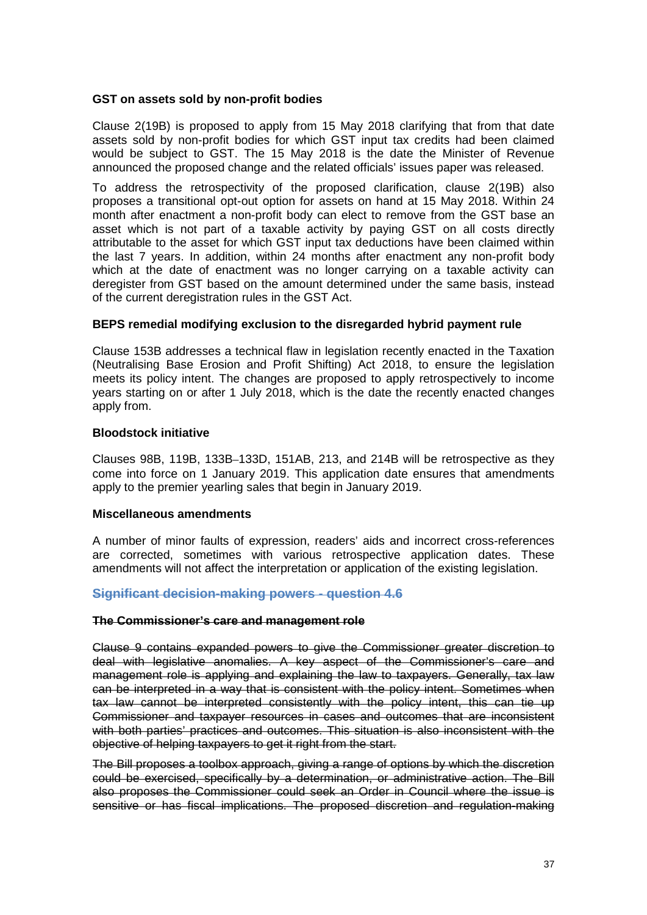#### **GST on assets sold by non-profit bodies**

Clause 2(19B) is proposed to apply from 15 May 2018 clarifying that from that date assets sold by non-profit bodies for which GST input tax credits had been claimed would be subject to GST. The 15 May 2018 is the date the Minister of Revenue announced the proposed change and the related officials' issues paper was released.

To address the retrospectivity of the proposed clarification, clause 2(19B) also proposes a transitional opt-out option for assets on hand at 15 May 2018. Within 24 month after enactment a non-profit body can elect to remove from the GST base an asset which is not part of a taxable activity by paying GST on all costs directly attributable to the asset for which GST input tax deductions have been claimed within the last 7 years. In addition, within 24 months after enactment any non-profit body which at the date of enactment was no longer carrying on a taxable activity can deregister from GST based on the amount determined under the same basis, instead of the current deregistration rules in the GST Act.

#### **BEPS remedial modifying exclusion to the disregarded hybrid payment rule**

Clause 153B addresses a technical flaw in legislation recently enacted in the Taxation (Neutralising Base Erosion and Profit Shifting) Act 2018, to ensure the legislation meets its policy intent. The changes are proposed to apply retrospectively to income years starting on or after 1 July 2018, which is the date the recently enacted changes apply from.

#### **Bloodstock initiative**

Clauses 98B, 119B, 133B–133D, 151AB, 213, and 214B will be retrospective as they come into force on 1 January 2019. This application date ensures that amendments apply to the premier yearling sales that begin in January 2019.

#### **Miscellaneous amendments**

A number of minor faults of expression, readers' aids and incorrect cross-references are corrected, sometimes with various retrospective application dates. These amendments will not affect the interpretation or application of the existing legislation.

### **Significant decision-making powers - question 4.6**

#### **The Commissioner's care and management role**

Clause 9 contains expanded powers to give the Commissioner greater discretion to deal with legislative anomalies. A key aspect of the Commissioner's care and management role is applying and explaining the law to taxpayers. Generally, tax law can be interpreted in a way that is consistent with the policy intent. Sometimes when tax law cannot be interpreted consistently with the policy intent, this can tie up Commissioner and taxpayer resources in cases and outcomes that are inconsistent with both parties' practices and outcomes. This situation is also inconsistent with the objective of helping taxpayers to get it right from the start.

The Bill proposes a toolbox approach, giving a range of options by which the discretion could be exercised, specifically by a determination, or administrative action. The Bill also proposes the Commissioner could seek an Order in Council where the issue is sensitive or has fiscal implications. The proposed discretion and regulation-making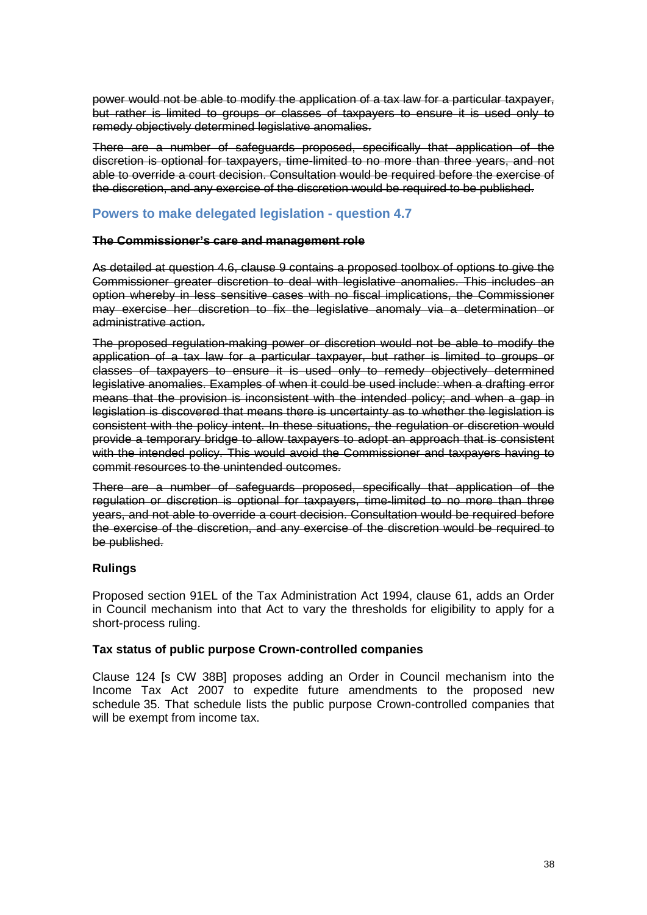power would not be able to modify the application of a tax law for a particular taxpayer, but rather is limited to groups or classes of taxpayers to ensure it is used only to remedy objectively determined legislative anomalies.

There are a number of safeguards proposed, specifically that application of the discretion is optional for taxpayers, time-limited to no more than three years, and not able to override a court decision. Consultation would be required before the exercise of the discretion, and any exercise of the discretion would be required to be published.

## **Powers to make delegated legislation - question 4.7**

#### **The Commissioner's care and management role**

As detailed at question 4.6, clause 9 contains a proposed toolbox of options to give the Commissioner greater discretion to deal with legislative anomalies. This includes an option whereby in less sensitive cases with no fiscal implications, the Commissioner may exercise her discretion to fix the legislative anomaly via a determination or administrative action.

The proposed regulation-making power or discretion would not be able to modify the application of a tax law for a particular taxpayer, but rather is limited to groups or classes of taxpayers to ensure it is used only to remedy objectively determined legislative anomalies. Examples of when it could be used include: when a drafting error means that the provision is inconsistent with the intended policy; and when a gap in legislation is discovered that means there is uncertainty as to whether the legislation is consistent with the policy intent. In these situations, the regulation or discretion would provide a temporary bridge to allow taxpayers to adopt an approach that is consistent with the intended policy. This would avoid the Commissioner and taxpayers having to commit resources to the unintended outcomes.

There are a number of safeguards proposed, specifically that application of the regulation or discretion is optional for taxpayers, time-limited to no more than three years, and not able to override a court decision. Consultation would be required before the exercise of the discretion, and any exercise of the discretion would be required to be published.

### **Rulings**

Proposed section 91EL of the Tax Administration Act 1994, clause 61, adds an Order in Council mechanism into that Act to vary the thresholds for eligibility to apply for a short-process ruling.

#### **Tax status of public purpose Crown-controlled companies**

Clause 124 [s CW 38B] proposes adding an Order in Council mechanism into the Income Tax Act 2007 to expedite future amendments to the proposed new schedule 35. That schedule lists the public purpose Crown-controlled companies that will be exempt from income tax.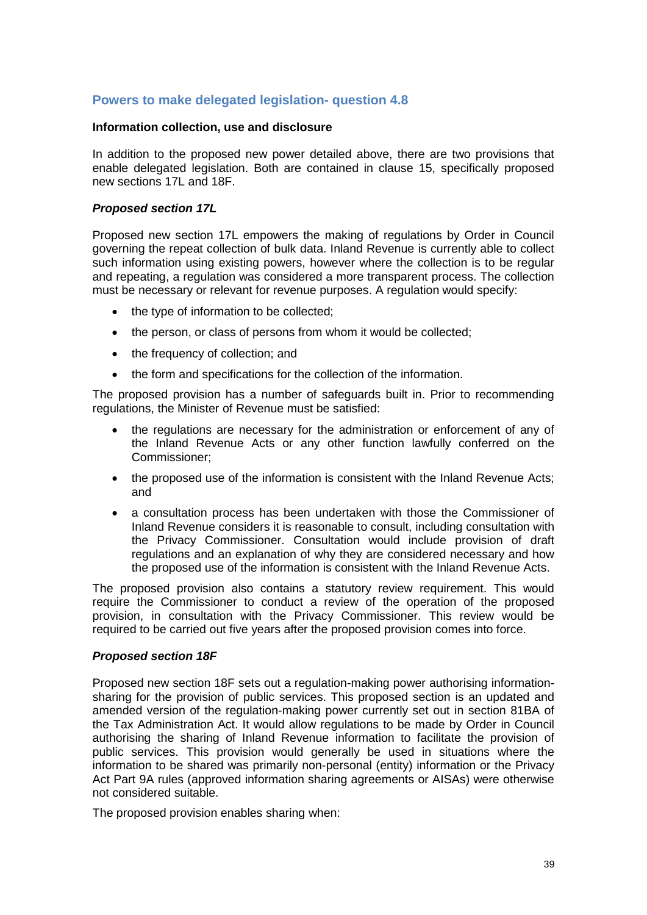## **Powers to make delegated legislation- question 4.8**

#### **Information collection, use and disclosure**

In addition to the proposed new power detailed above, there are two provisions that enable delegated legislation. Both are contained in clause 15, specifically proposed new sections 17L and 18F.

#### *Proposed section 17L*

Proposed new section 17L empowers the making of regulations by Order in Council governing the repeat collection of bulk data. Inland Revenue is currently able to collect such information using existing powers, however where the collection is to be regular and repeating, a regulation was considered a more transparent process. The collection must be necessary or relevant for revenue purposes. A regulation would specify:

- the type of information to be collected;
- the person, or class of persons from whom it would be collected;
- the frequency of collection; and
- the form and specifications for the collection of the information.

The proposed provision has a number of safeguards built in. Prior to recommending regulations, the Minister of Revenue must be satisfied:

- the regulations are necessary for the administration or enforcement of any of the Inland Revenue Acts or any other function lawfully conferred on the Commissioner;
- the proposed use of the information is consistent with the Inland Revenue Acts; and
- a consultation process has been undertaken with those the Commissioner of Inland Revenue considers it is reasonable to consult, including consultation with the Privacy Commissioner. Consultation would include provision of draft regulations and an explanation of why they are considered necessary and how the proposed use of the information is consistent with the Inland Revenue Acts.

The proposed provision also contains a statutory review requirement. This would require the Commissioner to conduct a review of the operation of the proposed provision, in consultation with the Privacy Commissioner. This review would be required to be carried out five years after the proposed provision comes into force.

#### *Proposed section 18F*

Proposed new section 18F sets out a regulation-making power authorising informationsharing for the provision of public services. This proposed section is an updated and amended version of the regulation-making power currently set out in section 81BA of the Tax Administration Act. It would allow regulations to be made by Order in Council authorising the sharing of Inland Revenue information to facilitate the provision of public services. This provision would generally be used in situations where the information to be shared was primarily non-personal (entity) information or the Privacy Act Part 9A rules (approved information sharing agreements or AISAs) were otherwise not considered suitable.

The proposed provision enables sharing when: